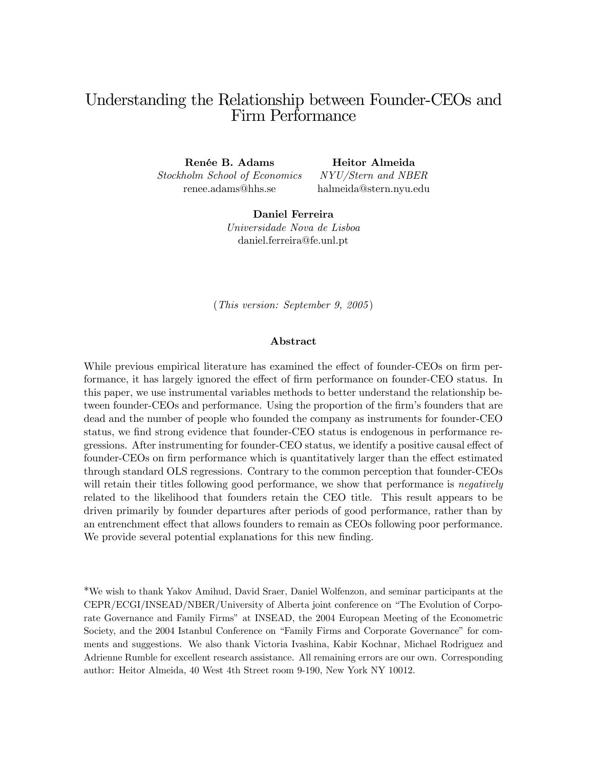# Understanding the Relationship between Founder-CEOs and Firm Performance

Renée B. Adams Stockholm School of Economics renee.adams@hhs.se

Heitor Almeida NYU/Stern and NBER

halmeida@stern.nyu.edu

Daniel Ferreira Universidade Nova de Lisboa daniel.ferreira@fe.unl.pt

(This version: September 9, 2005 )

#### Abstract

While previous empirical literature has examined the effect of founder-CEOs on firm performance, it has largely ignored the effect of firm performance on founder-CEO status. In this paper, we use instrumental variables methods to better understand the relationship between founder-CEOs and performance. Using the proportion of the firm's founders that are dead and the number of people who founded the company as instruments for founder-CEO status, we find strong evidence that founder-CEO status is endogenous in performance regressions. After instrumenting for founder-CEO status, we identify a positive causal effect of founder-CEOs on firm performance which is quantitatively larger than the effect estimated through standard OLS regressions. Contrary to the common perception that founder-CEOs will retain their titles following good performance, we show that performance is *negatively* related to the likelihood that founders retain the CEO title. This result appears to be driven primarily by founder departures after periods of good performance, rather than by an entrenchment effect that allows founders to remain as CEOs following poor performance. We provide several potential explanations for this new finding.

\*We wish to thank Yakov Amihud, David Sraer, Daniel Wolfenzon, and seminar participants at the CEPR/ECGI/INSEAD/NBER/University of Alberta joint conference on "The Evolution of Corporate Governance and Family Firms" at INSEAD, the 2004 European Meeting of the Econometric Society, and the 2004 Istanbul Conference on "Family Firms and Corporate Governance" for comments and suggestions. We also thank Victoria Ivashina, Kabir Kochnar, Michael Rodriguez and Adrienne Rumble for excellent research assistance. All remaining errors are our own. Corresponding author: Heitor Almeida, 40 West 4th Street room 9-190, New York NY 10012.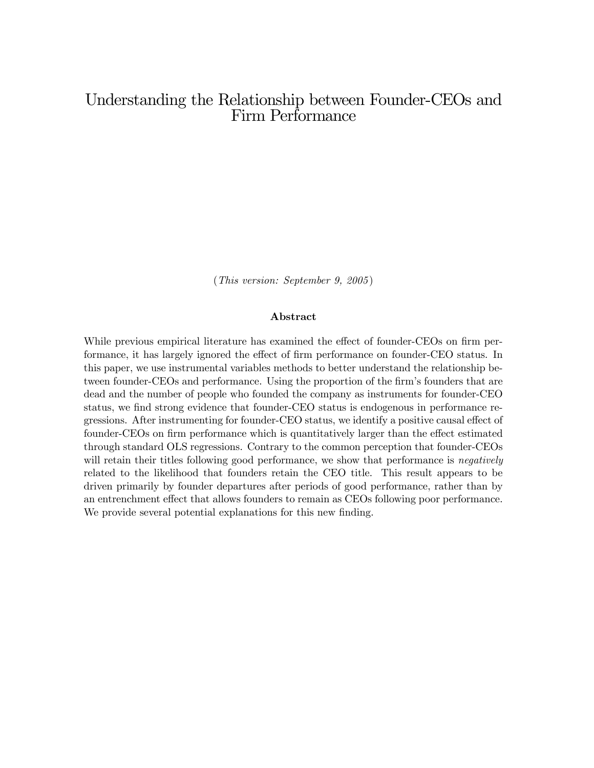# Understanding the Relationship between Founder-CEOs and Firm Performance

(This version: September 9, 2005 )

#### Abstract

While previous empirical literature has examined the effect of founder-CEOs on firm performance, it has largely ignored the effect of firm performance on founder-CEO status. In this paper, we use instrumental variables methods to better understand the relationship between founder-CEOs and performance. Using the proportion of the firm's founders that are dead and the number of people who founded the company as instruments for founder-CEO status, we find strong evidence that founder-CEO status is endogenous in performance regressions. After instrumenting for founder-CEO status, we identify a positive causal effect of founder-CEOs on firm performance which is quantitatively larger than the effect estimated through standard OLS regressions. Contrary to the common perception that founder-CEOs will retain their titles following good performance, we show that performance is *negatively* related to the likelihood that founders retain the CEO title. This result appears to be driven primarily by founder departures after periods of good performance, rather than by an entrenchment effect that allows founders to remain as CEOs following poor performance. We provide several potential explanations for this new finding.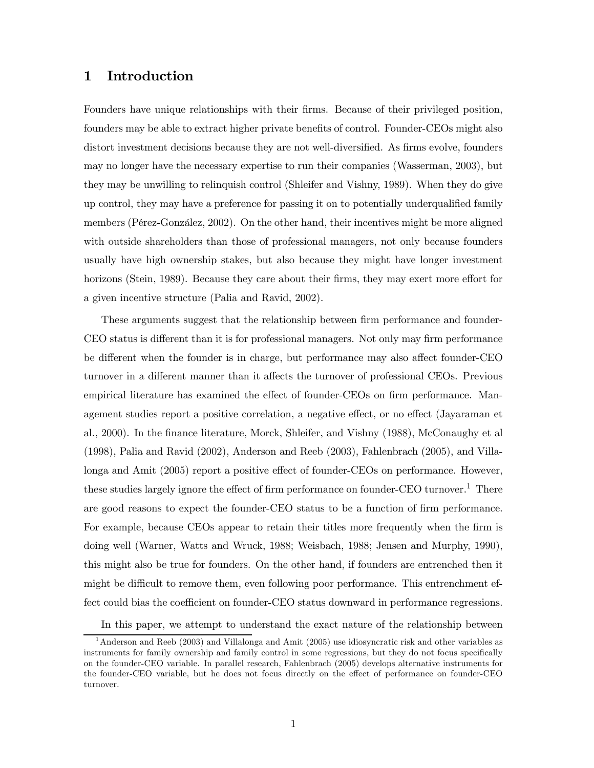## 1 Introduction

Founders have unique relationships with their firms. Because of their privileged position, founders may be able to extract higher private benefits of control. Founder-CEOs might also distort investment decisions because they are not well-diversified. As firms evolve, founders may no longer have the necessary expertise to run their companies (Wasserman, 2003), but they may be unwilling to relinquish control (Shleifer and Vishny, 1989). When they do give up control, they may have a preference for passing it on to potentially underqualified family members (Pérez-González, 2002). On the other hand, their incentives might be more aligned with outside shareholders than those of professional managers, not only because founders usually have high ownership stakes, but also because they might have longer investment horizons (Stein, 1989). Because they care about their firms, they may exert more effort for a given incentive structure (Palia and Ravid, 2002).

These arguments suggest that the relationship between firm performance and founder-CEO status is different than it is for professional managers. Not only may firm performance be different when the founder is in charge, but performance may also affect founder-CEO turnover in a different manner than it affects the turnover of professional CEOs. Previous empirical literature has examined the effect of founder-CEOs on firm performance. Management studies report a positive correlation, a negative effect, or no effect (Jayaraman et al., 2000). In the finance literature, Morck, Shleifer, and Vishny (1988), McConaughy et al (1998), Palia and Ravid (2002), Anderson and Reeb (2003), Fahlenbrach (2005), and Villalonga and Amit (2005) report a positive effect of founder-CEOs on performance. However, these studies largely ignore the effect of firm performance on founder-CEO turnover.<sup>1</sup> There are good reasons to expect the founder-CEO status to be a function of firm performance. For example, because CEOs appear to retain their titles more frequently when the firm is doing well (Warner, Watts and Wruck, 1988; Weisbach, 1988; Jensen and Murphy, 1990), this might also be true for founders. On the other hand, if founders are entrenched then it might be difficult to remove them, even following poor performance. This entrenchment effect could bias the coefficient on founder-CEO status downward in performance regressions.

In this paper, we attempt to understand the exact nature of the relationship between

<sup>1</sup>Anderson and Reeb (2003) and Villalonga and Amit (2005) use idiosyncratic risk and other variables as instruments for family ownership and family control in some regressions, but they do not focus specifically on the founder-CEO variable. In parallel research, Fahlenbrach (2005) develops alternative instruments for the founder-CEO variable, but he does not focus directly on the effect of performance on founder-CEO turnover.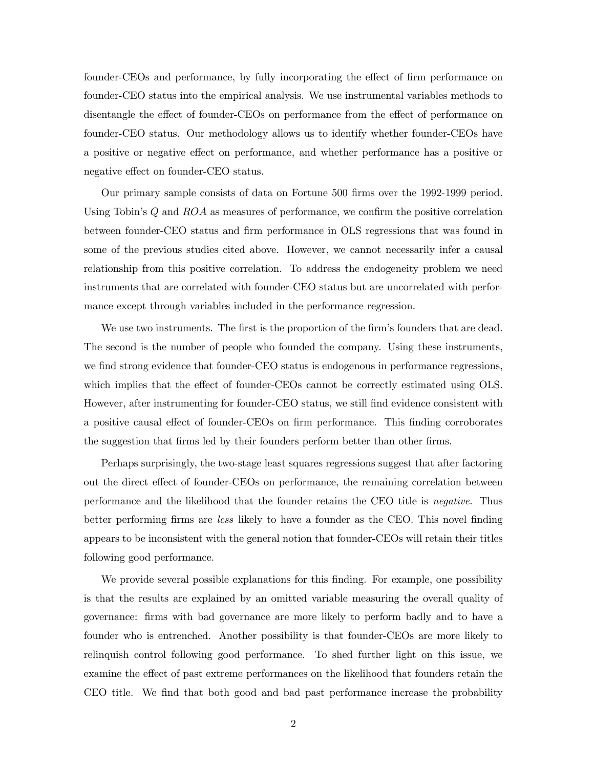founder-CEOs and performance, by fully incorporating the effect of firm performance on founder-CEO status into the empirical analysis. We use instrumental variables methods to disentangle the effect of founder-CEOs on performance from the effect of performance on founder-CEO status. Our methodology allows us to identify whether founder-CEOs have a positive or negative effect on performance, and whether performance has a positive or negative effect on founder-CEO status.

Our primary sample consists of data on Fortune 500 firms over the 1992-1999 period. Using Tobin's  $Q$  and  $ROA$  as measures of performance, we confirm the positive correlation between founder-CEO status and firm performance in OLS regressions that was found in some of the previous studies cited above. However, we cannot necessarily infer a causal relationship from this positive correlation. To address the endogeneity problem we need instruments that are correlated with founder-CEO status but are uncorrelated with performance except through variables included in the performance regression.

We use two instruments. The first is the proportion of the firm's founders that are dead. The second is the number of people who founded the company. Using these instruments, we find strong evidence that founder-CEO status is endogenous in performance regressions, which implies that the effect of founder-CEOs cannot be correctly estimated using OLS. However, after instrumenting for founder-CEO status, we still find evidence consistent with a positive causal effect of founder-CEOs on firm performance. This finding corroborates the suggestion that firms led by their founders perform better than other firms.

Perhaps surprisingly, the two-stage least squares regressions suggest that after factoring out the direct effect of founder-CEOs on performance, the remaining correlation between performance and the likelihood that the founder retains the CEO title is negative. Thus better performing firms are less likely to have a founder as the CEO. This novel finding appears to be inconsistent with the general notion that founder-CEOs will retain their titles following good performance.

We provide several possible explanations for this finding. For example, one possibility is that the results are explained by an omitted variable measuring the overall quality of governance: firms with bad governance are more likely to perform badly and to have a founder who is entrenched. Another possibility is that founder-CEOs are more likely to relinquish control following good performance. To shed further light on this issue, we examine the effect of past extreme performances on the likelihood that founders retain the CEO title. We find that both good and bad past performance increase the probability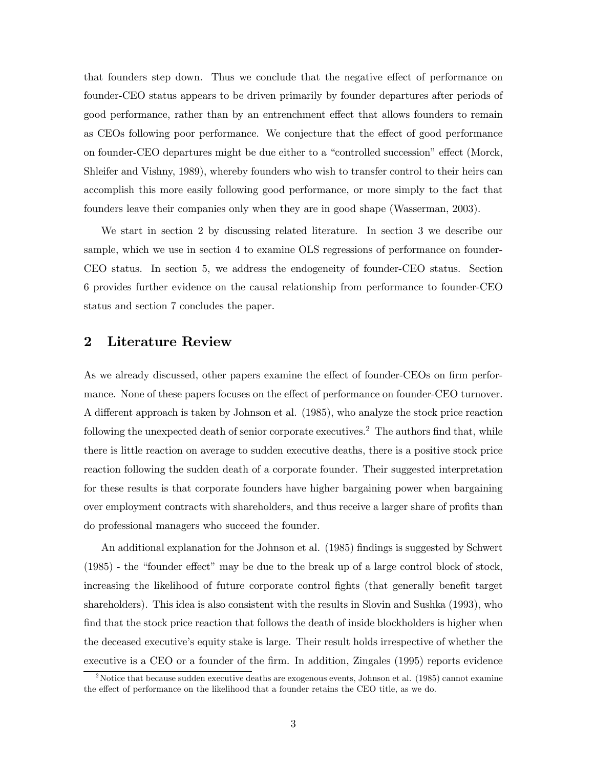that founders step down. Thus we conclude that the negative effect of performance on founder-CEO status appears to be driven primarily by founder departures after periods of good performance, rather than by an entrenchment effect that allows founders to remain as CEOs following poor performance. We conjecture that the effect of good performance on founder-CEO departures might be due either to a "controlled succession" effect (Morck, Shleifer and Vishny, 1989), whereby founders who wish to transfer control to their heirs can accomplish this more easily following good performance, or more simply to the fact that founders leave their companies only when they are in good shape (Wasserman, 2003).

We start in section 2 by discussing related literature. In section 3 we describe our sample, which we use in section 4 to examine OLS regressions of performance on founder-CEO status. In section 5, we address the endogeneity of founder-CEO status. Section 6 provides further evidence on the causal relationship from performance to founder-CEO status and section 7 concludes the paper.

## 2 Literature Review

As we already discussed, other papers examine the effect of founder-CEOs on firm performance. None of these papers focuses on the effect of performance on founder-CEO turnover. A different approach is taken by Johnson et al. (1985), who analyze the stock price reaction following the unexpected death of senior corporate executives.<sup>2</sup> The authors find that, while there is little reaction on average to sudden executive deaths, there is a positive stock price reaction following the sudden death of a corporate founder. Their suggested interpretation for these results is that corporate founders have higher bargaining power when bargaining over employment contracts with shareholders, and thus receive a larger share of profits than do professional managers who succeed the founder.

An additional explanation for the Johnson et al. (1985) findings is suggested by Schwert (1985) - the "founder effect" may be due to the break up of a large control block of stock, increasing the likelihood of future corporate control fights (that generally benefit target shareholders). This idea is also consistent with the results in Slovin and Sushka (1993), who find that the stock price reaction that follows the death of inside blockholders is higher when the deceased executive's equity stake is large. Their result holds irrespective of whether the executive is a CEO or a founder of the firm. In addition, Zingales (1995) reports evidence

<sup>&</sup>lt;sup>2</sup>Notice that because sudden executive deaths are exogenous events, Johnson et al. (1985) cannot examine the effect of performance on the likelihood that a founder retains the CEO title, as we do.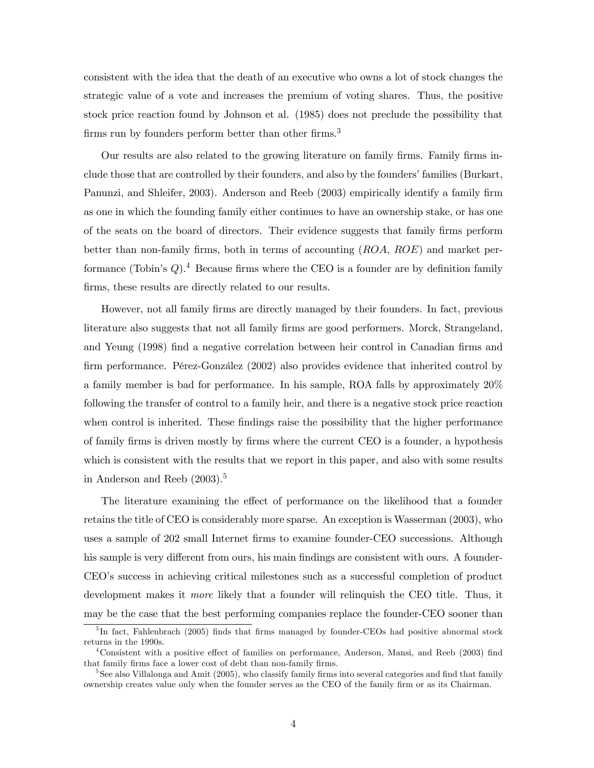consistent with the idea that the death of an executive who owns a lot of stock changes the strategic value of a vote and increases the premium of voting shares. Thus, the positive stock price reaction found by Johnson et al. (1985) does not preclude the possibility that firms run by founders perform better than other firms.<sup>3</sup>

Our results are also related to the growing literature on family firms. Family firms include those that are controlled by their founders, and also by the founders' families (Burkart, Panunzi, and Shleifer, 2003). Anderson and Reeb (2003) empirically identify a family firm as one in which the founding family either continues to have an ownership stake, or has one of the seats on the board of directors. Their evidence suggests that family firms perform better than non-family firms, both in terms of accounting (ROA, ROE) and market performance (Tobin's  $Q$ ).<sup>4</sup> Because firms where the CEO is a founder are by definition family firms, these results are directly related to our results.

However, not all family firms are directly managed by their founders. In fact, previous literature also suggests that not all family firms are good performers. Morck, Strangeland, and Yeung (1998) find a negative correlation between heir control in Canadian firms and firm performance. Pérez-González (2002) also provides evidence that inherited control by a family member is bad for performance. In his sample, ROA falls by approximately 20% following the transfer of control to a family heir, and there is a negative stock price reaction when control is inherited. These findings raise the possibility that the higher performance of family firms is driven mostly by firms where the current CEO is a founder, a hypothesis which is consistent with the results that we report in this paper, and also with some results in Anderson and Reeb  $(2003).<sup>5</sup>$ 

The literature examining the effect of performance on the likelihood that a founder retains the title of CEO is considerably more sparse. An exception is Wasserman (2003), who uses a sample of 202 small Internet firms to examine founder-CEO successions. Although his sample is very different from ours, his main findings are consistent with ours. A founder-CEO's success in achieving critical milestones such as a successful completion of product development makes it more likely that a founder will relinquish the CEO title. Thus, it may be the case that the best performing companies replace the founder-CEO sooner than

<sup>&</sup>lt;sup>3</sup>In fact, Fahlenbrach (2005) finds that firms managed by founder-CEOs had positive abnormal stock returns in the 1990s.

<sup>4</sup>Consistent with a positive effect of families on performance, Anderson, Mansi, and Reeb (2003) find that family firms face a lower cost of debt than non-family firms.

<sup>&</sup>lt;sup>5</sup>See also Villalonga and Amit (2005), who classify family firms into several categories and find that family ownership creates value only when the founder serves as the CEO of the family firm or as its Chairman.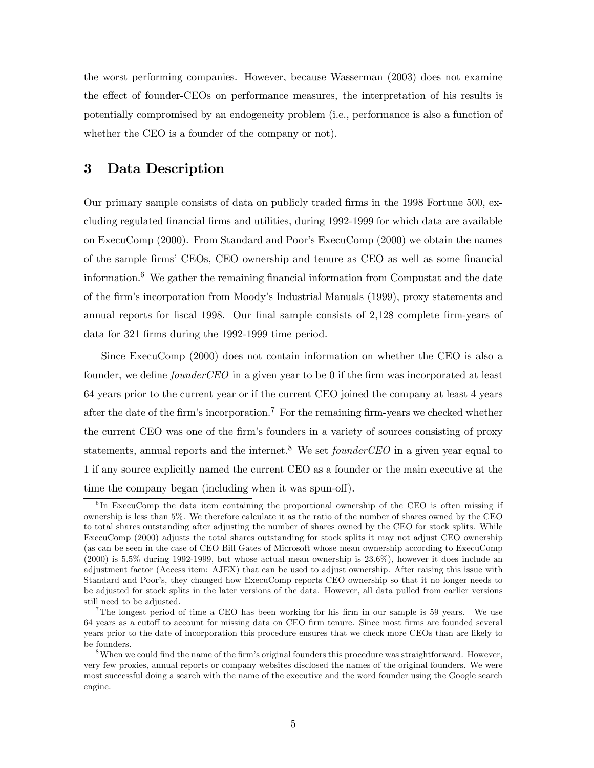the worst performing companies. However, because Wasserman (2003) does not examine the effect of founder-CEOs on performance measures, the interpretation of his results is potentially compromised by an endogeneity problem (i.e., performance is also a function of whether the CEO is a founder of the company or not).

### 3 Data Description

Our primary sample consists of data on publicly traded firms in the 1998 Fortune 500, excluding regulated financial firms and utilities, during 1992-1999 for which data are available on ExecuComp (2000). From Standard and Poor's ExecuComp (2000) we obtain the names of the sample firms' CEOs, CEO ownership and tenure as CEO as well as some financial information.6 We gather the remaining financial information from Compustat and the date of the firm's incorporation from Moody's Industrial Manuals (1999), proxy statements and annual reports for fiscal 1998. Our final sample consists of 2,128 complete firm-years of data for 321 firms during the 1992-1999 time period.

Since ExecuComp (2000) does not contain information on whether the CEO is also a founder, we define founderCEO in a given year to be 0 if the firm was incorporated at least 64 years prior to the current year or if the current CEO joined the company at least 4 years after the date of the firm's incorporation.<sup>7</sup> For the remaining firm-years we checked whether the current CEO was one of the firm's founders in a variety of sources consisting of proxy statements, annual reports and the internet.<sup>8</sup> We set *founderCEO* in a given year equal to 1 if any source explicitly named the current CEO as a founder or the main executive at the time the company began (including when it was spun-off).

 $6$ In ExecuComp the data item containing the proportional ownership of the CEO is often missing if ownership is less than 5%. We therefore calculate it as the ratio of the number of shares owned by the CEO to total shares outstanding after adjusting the number of shares owned by the CEO for stock splits. While ExecuComp (2000) adjusts the total shares outstanding for stock splits it may not adjust CEO ownership (as can be seen in the case of CEO Bill Gates of Microsoft whose mean ownership according to ExecuComp (2000) is 5.5% during 1992-1999, but whose actual mean ownership is 23.6%), however it does include an adjustment factor (Access item: AJEX) that can be used to adjust ownership. After raising this issue with Standard and Poor's, they changed how ExecuComp reports CEO ownership so that it no longer needs to be adjusted for stock splits in the later versions of the data. However, all data pulled from earlier versions still need to be adjusted.

<sup>&</sup>lt;sup>7</sup>The longest period of time a CEO has been working for his firm in our sample is 59 years. We use 64 years as a cutoff to account for missing data on CEO firm tenure. Since most firms are founded several years prior to the date of incorporation this procedure ensures that we check more CEOs than are likely to be founders.

<sup>&</sup>lt;sup>8</sup>When we could find the name of the firm's original founders this procedure was straightforward. However, very few proxies, annual reports or company websites disclosed the names of the original founders. We were most successful doing a search with the name of the executive and the word founder using the Google search engine.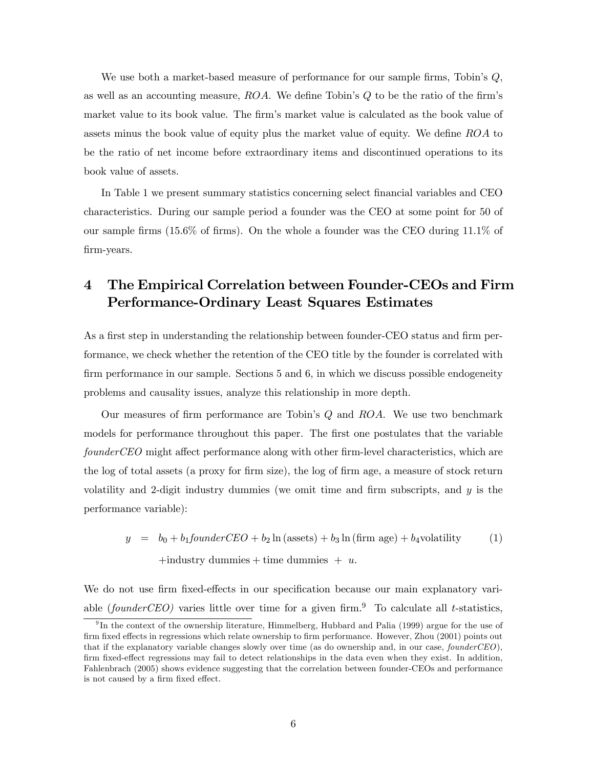We use both a market-based measure of performance for our sample firms, Tobin's  $Q$ , as well as an accounting measure, ROA. We define Tobin's Q to be the ratio of the firm's market value to its book value. The firm's market value is calculated as the book value of assets minus the book value of equity plus the market value of equity. We define ROA to be the ratio of net income before extraordinary items and discontinued operations to its book value of assets.

In Table 1 we present summary statistics concerning select financial variables and CEO characteristics. During our sample period a founder was the CEO at some point for 50 of our sample firms (15.6% of firms). On the whole a founder was the CEO during 11.1% of firm-years.

# 4 The Empirical Correlation between Founder-CEOs and Firm Performance-Ordinary Least Squares Estimates

As a first step in understanding the relationship between founder-CEO status and firm performance, we check whether the retention of the CEO title by the founder is correlated with firm performance in our sample. Sections 5 and 6, in which we discuss possible endogeneity problems and causality issues, analyze this relationship in more depth.

Our measures of firm performance are Tobin's  $Q$  and  $ROA$ . We use two benchmark models for performance throughout this paper. The first one postulates that the variable founderCEO might affect performance along with other firm-level characteristics, which are the log of total assets (a proxy for firm size), the log of firm age, a measure of stock return volatility and 2-digit industry dummies (we omit time and firm subscripts, and  $y$  is the performance variable):

 $y = b_0 + b_1 \text{found}$   $\text{FCC} = b_2 \ln(\text{assets}) + b_3 \ln(\text{firm age}) + b_4$ volatility (1)

 $+$ industry dummies  $+$  time dummies  $+ u$ .

We do not use firm fixed-effects in our specification because our main explanatory variable (founderCEO) varies little over time for a given firm.<sup>9</sup> To calculate all t-statistics,

 $9\text{In the context of the ownership literature, Himmelberg, Hubbard and Palia (1999) argue for the use of }$ firm fixed effects in regressions which relate ownership to firm performance. However, Zhou (2001) points out that if the explanatory variable changes slowly over time (as do ownership and, in our case,  $found \,r\,CD$ ), firm fixed-effect regressions may fail to detect relationships in the data even when they exist. In addition, Fahlenbrach (2005) shows evidence suggesting that the correlation between founder-CEOs and performance is not caused by a firm fixed effect.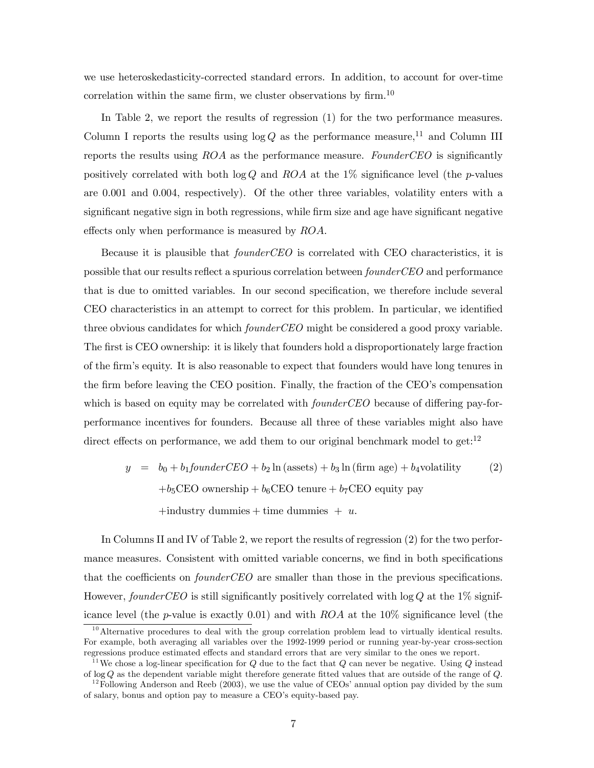we use heteroskedasticity-corrected standard errors. In addition, to account for over-time correlation within the same firm, we cluster observations by firm.<sup>10</sup>

In Table 2, we report the results of regression (1) for the two performance measures. Column I reports the results using  $\log Q$  as the performance measure,<sup>11</sup> and Column III reports the results using ROA as the performance measure. FounderCEO is significantly positively correlated with both  $\log Q$  and ROA at the 1% significance level (the p-values are 0.001 and 0.004, respectively). Of the other three variables, volatility enters with a significant negative sign in both regressions, while firm size and age have significant negative effects only when performance is measured by ROA.

Because it is plausible that *founderCEO* is correlated with CEO characteristics, it is possible that our results reflect a spurious correlation between founderCEO and performance that is due to omitted variables. In our second specification, we therefore include several CEO characteristics in an attempt to correct for this problem. In particular, we identified three obvious candidates for which *founderCEO* might be considered a good proxy variable. The first is CEO ownership: it is likely that founders hold a disproportionately large fraction of the firm's equity. It is also reasonable to expect that founders would have long tenures in the firm before leaving the CEO position. Finally, the fraction of the CEO's compensation which is based on equity may be correlated with *founderCEO* because of differing pay-forperformance incentives for founders. Because all three of these variables might also have direct effects on performance, we add them to our original benchmark model to get:<sup>12</sup>

 $y = b_0 + b_1 \text{found}$   $rCEO + b_2 \ln(\text{assets}) + b_3 \ln(\text{firm age}) + b_4$ volatility (2)  $+b_5$ CEO ownership +  $b_6$ CEO tenure +  $b_7$ CEO equity pay +industry dummies + time dummies +  $u$ .

In Columns II and IV of Table 2, we report the results of regression (2) for the two performance measures. Consistent with omitted variable concerns, we find in both specifications that the coefficients on *founderCEO* are smaller than those in the previous specifications. However, founderCEO is still significantly positively correlated with  $log Q$  at the 1% significance level (the p-value is exactly 0.01) and with  $ROA$  at the 10% significance level (the

 $10$  Alternative procedures to deal with the group correlation problem lead to virtually identical results. For example, both averaging all variables over the 1992-1999 period or running year-by-year cross-section regressions produce estimated effects and standard errors that are very similar to the ones we report.

<sup>&</sup>lt;sup>11</sup>We chose a log-linear specification for Q due to the fact that Q can never be negative. Using Q instead of log Q as the dependent variable might therefore generate fitted values that are outside of the range of Q.

 $12$ Following Anderson and Reeb (2003), we use the value of CEOs' annual option pay divided by the sum of salary, bonus and option pay to measure a CEO's equity-based pay.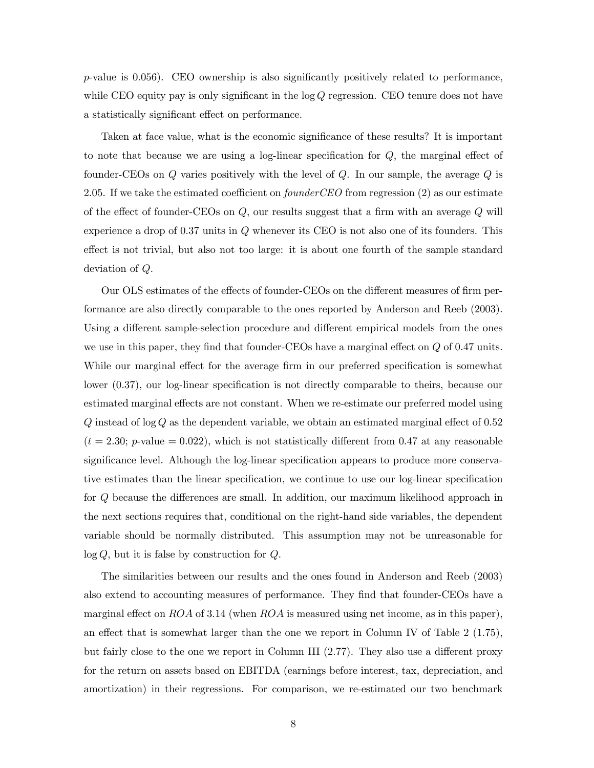p-value is 0.056). CEO ownership is also significantly positively related to performance, while CEO equity pay is only significant in the  $log Q$  regression. CEO tenure does not have a statistically significant effect on performance.

Taken at face value, what is the economic significance of these results? It is important to note that because we are using a log-linear specification for Q, the marginal effect of founder-CEOs on  $Q$  varies positively with the level of  $Q$ . In our sample, the average  $Q$  is 2.05. If we take the estimated coefficient on  $founderCEO$  from regression  $(2)$  as our estimate of the effect of founder-CEOs on  $Q$ , our results suggest that a firm with an average  $Q$  will experience a drop of 0.37 units in Q whenever its CEO is not also one of its founders. This effect is not trivial, but also not too large: it is about one fourth of the sample standard deviation of Q.

Our OLS estimates of the effects of founder-CEOs on the different measures of firm performance are also directly comparable to the ones reported by Anderson and Reeb (2003). Using a different sample-selection procedure and different empirical models from the ones we use in this paper, they find that founder-CEOs have a marginal effect on  $Q$  of 0.47 units. While our marginal effect for the average firm in our preferred specification is somewhat lower (0.37), our log-linear specification is not directly comparable to theirs, because our estimated marginal effects are not constant. When we re-estimate our preferred model using  $Q$  instead of log  $Q$  as the dependent variable, we obtain an estimated marginal effect of 0.52  $(t = 2.30; p$ -value  $= 0.022$ , which is not statistically different from 0.47 at any reasonable significance level. Although the log-linear specification appears to produce more conservative estimates than the linear specification, we continue to use our log-linear specification for Q because the differences are small. In addition, our maximum likelihood approach in the next sections requires that, conditional on the right-hand side variables, the dependent variable should be normally distributed. This assumption may not be unreasonable for  $log Q$ , but it is false by construction for  $Q$ .

The similarities between our results and the ones found in Anderson and Reeb (2003) also extend to accounting measures of performance. They find that founder-CEOs have a marginal effect on ROA of 3.14 (when ROA is measured using net income, as in this paper), an effect that is somewhat larger than the one we report in Column IV of Table 2 (1.75), but fairly close to the one we report in Column III (2.77). They also use a different proxy for the return on assets based on EBITDA (earnings before interest, tax, depreciation, and amortization) in their regressions. For comparison, we re-estimated our two benchmark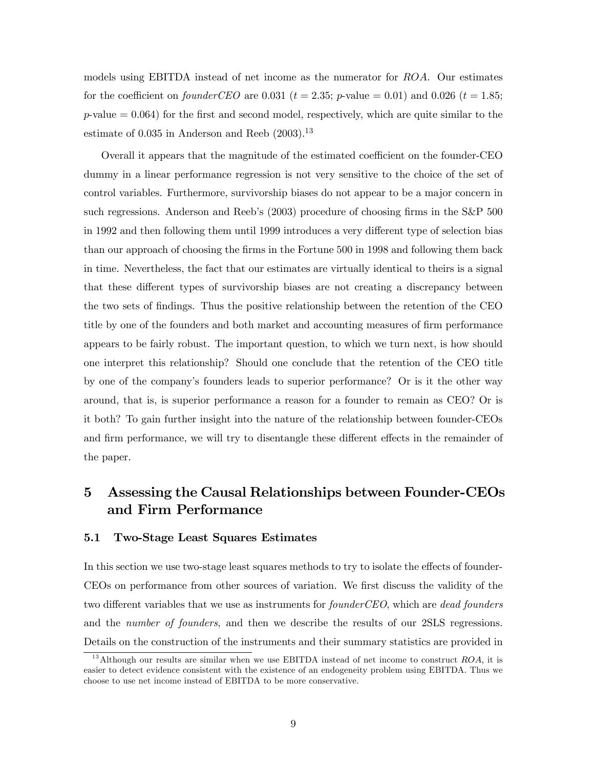models using EBITDA instead of net income as the numerator for ROA. Our estimates for the coefficient on founderCEO are 0.031 ( $t = 2.35$ ; p-value = 0.01) and 0.026 ( $t = 1.85$ ;  $p$ -value  $= 0.064$ ) for the first and second model, respectively, which are quite similar to the estimate of  $0.035$  in Anderson and Reeb  $(2003).^{13}$ 

Overall it appears that the magnitude of the estimated coefficient on the founder-CEO dummy in a linear performance regression is not very sensitive to the choice of the set of control variables. Furthermore, survivorship biases do not appear to be a major concern in such regressions. Anderson and Reeb's (2003) procedure of choosing firms in the S&P 500 in 1992 and then following them until 1999 introduces a very different type of selection bias than our approach of choosing the firms in the Fortune 500 in 1998 and following them back in time. Nevertheless, the fact that our estimates are virtually identical to theirs is a signal that these different types of survivorship biases are not creating a discrepancy between the two sets of findings. Thus the positive relationship between the retention of the CEO title by one of the founders and both market and accounting measures of firm performance appears to be fairly robust. The important question, to which we turn next, is how should one interpret this relationship? Should one conclude that the retention of the CEO title by one of the company's founders leads to superior performance? Or is it the other way around, that is, is superior performance a reason for a founder to remain as CEO? Or is it both? To gain further insight into the nature of the relationship between founder-CEOs and firm performance, we will try to disentangle these different effects in the remainder of the paper.

# 5 Assessing the Causal Relationships between Founder-CEOs and Firm Performance

#### 5.1 Two-Stage Least Squares Estimates

In this section we use two-stage least squares methods to try to isolate the effects of founder-CEOs on performance from other sources of variation. We first discuss the validity of the two different variables that we use as instruments for *founderCEO*, which are *dead founders* and the number of founders, and then we describe the results of our 2SLS regressions. Details on the construction of the instruments and their summary statistics are provided in

<sup>&</sup>lt;sup>13</sup>Although our results are similar when we use EBITDA instead of net income to construct  $ROA$ , it is easier to detect evidence consistent with the existence of an endogeneity problem using EBITDA. Thus we choose to use net income instead of EBITDA to be more conservative.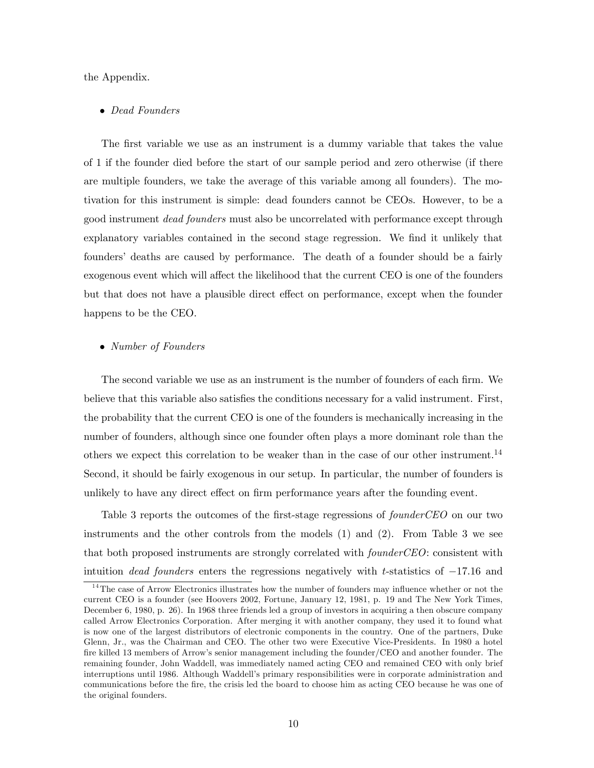the Appendix.

#### • Dead Founders

The first variable we use as an instrument is a dummy variable that takes the value of 1 if the founder died before the start of our sample period and zero otherwise (if there are multiple founders, we take the average of this variable among all founders). The motivation for this instrument is simple: dead founders cannot be CEOs. However, to be a good instrument dead founders must also be uncorrelated with performance except through explanatory variables contained in the second stage regression. We find it unlikely that founders' deaths are caused by performance. The death of a founder should be a fairly exogenous event which will affect the likelihood that the current CEO is one of the founders but that does not have a plausible direct effect on performance, except when the founder happens to be the CEO.

#### • Number of Founders

The second variable we use as an instrument is the number of founders of each firm. We believe that this variable also satisfies the conditions necessary for a valid instrument. First, the probability that the current CEO is one of the founders is mechanically increasing in the number of founders, although since one founder often plays a more dominant role than the others we expect this correlation to be weaker than in the case of our other instrument.14 Second, it should be fairly exogenous in our setup. In particular, the number of founders is unlikely to have any direct effect on firm performance years after the founding event.

Table 3 reports the outcomes of the first-stage regressions of *founderCEO* on our two instruments and the other controls from the models (1) and (2). From Table 3 we see that both proposed instruments are strongly correlated with *founderCEO*: consistent with intuition dead founders enters the regressions negatively with t-statistics of  $-17.16$  and

<sup>&</sup>lt;sup>14</sup>The case of Arrow Electronics illustrates how the number of founders may influence whether or not the current CEO is a founder (see Hoovers 2002, Fortune, January 12, 1981, p. 19 and The New York Times, December 6, 1980, p. 26). In 1968 three friends led a group of investors in acquiring a then obscure company called Arrow Electronics Corporation. After merging it with another company, they used it to found what is now one of the largest distributors of electronic components in the country. One of the partners, Duke Glenn, Jr., was the Chairman and CEO. The other two were Executive Vice-Presidents. In 1980 a hotel fire killed 13 members of Arrow's senior management including the founder/CEO and another founder. The remaining founder, John Waddell, was immediately named acting CEO and remained CEO with only brief interruptions until 1986. Although Waddell's primary responsibilities were in corporate administration and communications before the fire, the crisis led the board to choose him as acting CEO because he was one of the original founders.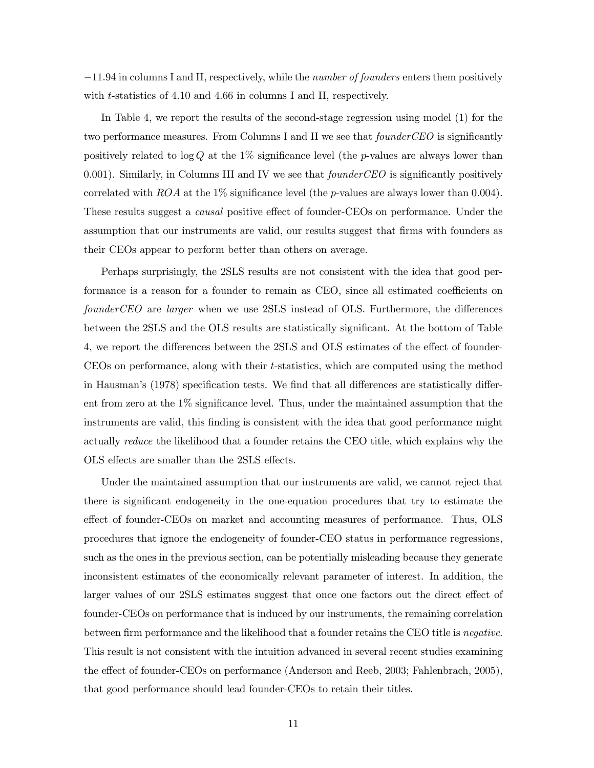−11.94 in columns I and II, respectively, while the number of founders enters them positively with *t*-statistics of 4.10 and 4.66 in columns I and II, respectively.

In Table 4, we report the results of the second-stage regression using model (1) for the two performance measures. From Columns I and II we see that *founderCEO* is significantly positively related to  $\log Q$  at the 1% significance level (the p-values are always lower than 0.001). Similarly, in Columns III and IV we see that *founderCEO* is significantly positively correlated with  $ROA$  at the 1% significance level (the p-values are always lower than 0.004). These results suggest a causal positive effect of founder-CEOs on performance. Under the assumption that our instruments are valid, our results suggest that firms with founders as their CEOs appear to perform better than others on average.

Perhaps surprisingly, the 2SLS results are not consistent with the idea that good performance is a reason for a founder to remain as CEO, since all estimated coefficients on founderCEO are larger when we use 2SLS instead of OLS. Furthermore, the differences between the 2SLS and the OLS results are statistically significant. At the bottom of Table 4, we report the differences between the 2SLS and OLS estimates of the effect of founder-CEOs on performance, along with their t-statistics, which are computed using the method in Hausman's (1978) specification tests. We find that all differences are statistically different from zero at the 1% significance level. Thus, under the maintained assumption that the instruments are valid, this finding is consistent with the idea that good performance might actually reduce the likelihood that a founder retains the CEO title, which explains why the OLS effects are smaller than the 2SLS effects.

Under the maintained assumption that our instruments are valid, we cannot reject that there is significant endogeneity in the one-equation procedures that try to estimate the effect of founder-CEOs on market and accounting measures of performance. Thus, OLS procedures that ignore the endogeneity of founder-CEO status in performance regressions, such as the ones in the previous section, can be potentially misleading because they generate inconsistent estimates of the economically relevant parameter of interest. In addition, the larger values of our 2SLS estimates suggest that once one factors out the direct effect of founder-CEOs on performance that is induced by our instruments, the remaining correlation between firm performance and the likelihood that a founder retains the CEO title is *negative*. This result is not consistent with the intuition advanced in several recent studies examining the effect of founder-CEOs on performance (Anderson and Reeb, 2003; Fahlenbrach, 2005), that good performance should lead founder-CEOs to retain their titles.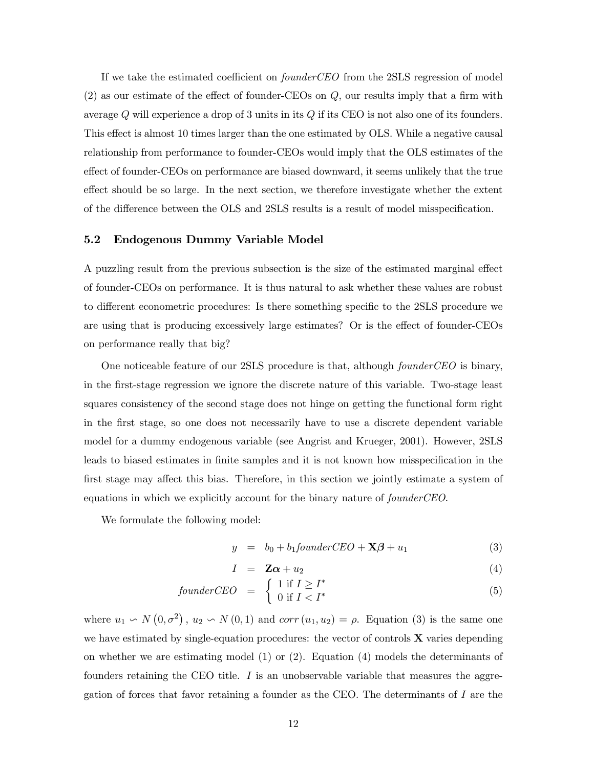If we take the estimated coefficient on *founderCEO* from the 2SLS regression of model (2) as our estimate of the effect of founder-CEOs on Q, our results imply that a firm with average  $Q$  will experience a drop of 3 units in its  $Q$  if its CEO is not also one of its founders. This effect is almost 10 times larger than the one estimated by OLS. While a negative causal relationship from performance to founder-CEOs would imply that the OLS estimates of the effect of founder-CEOs on performance are biased downward, it seems unlikely that the true effect should be so large. In the next section, we therefore investigate whether the extent of the difference between the OLS and 2SLS results is a result of model misspecification.

#### 5.2 Endogenous Dummy Variable Model

A puzzling result from the previous subsection is the size of the estimated marginal effect of founder-CEOs on performance. It is thus natural to ask whether these values are robust to different econometric procedures: Is there something specific to the 2SLS procedure we are using that is producing excessively large estimates? Or is the effect of founder-CEOs on performance really that big?

One noticeable feature of our 2SLS procedure is that, although *founderCEO* is binary, in the first-stage regression we ignore the discrete nature of this variable. Two-stage least squares consistency of the second stage does not hinge on getting the functional form right in the first stage, so one does not necessarily have to use a discrete dependent variable model for a dummy endogenous variable (see Angrist and Krueger, 2001). However, 2SLS leads to biased estimates in finite samples and it is not known how misspecification in the first stage may affect this bias. Therefore, in this section we jointly estimate a system of equations in which we explicitly account for the binary nature of founderCEO.

We formulate the following model:

$$
y = b_0 + b_1 \text{found} \, c \text{EO} + \mathbf{X} \boldsymbol{\beta} + u_1 \tag{3}
$$

$$
I = \mathbf{Z}\boldsymbol{\alpha} + u_2 \tag{4}
$$

$$
founder CEO = \begin{cases} 1 \text{ if } I \ge I^* \\ 0 \text{ if } I < I^* \end{cases} \tag{5}
$$

where  $u_1 \backsim N(0, \sigma^2)$ ,  $u_2 \backsim N(0, 1)$  and  $corr(u_1, u_2) = \rho$ . Equation (3) is the same one we have estimated by single-equation procedures: the vector of controls  $X$  varies depending on whether we are estimating model  $(1)$  or  $(2)$ . Equation  $(4)$  models the determinants of founders retaining the CEO title.  $I$  is an unobservable variable that measures the aggregation of forces that favor retaining a founder as the CEO. The determinants of I are the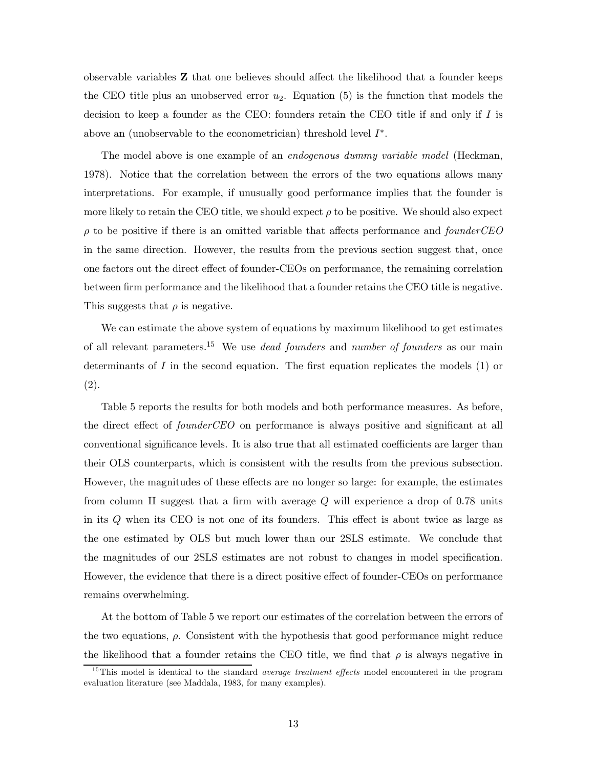observable variables Z that one believes should affect the likelihood that a founder keeps the CEO title plus an unobserved error  $u_2$ . Equation (5) is the function that models the decision to keep a founder as the CEO: founders retain the CEO title if and only if I is above an (unobservable to the econometrician) threshold level  $I^*$ .

The model above is one example of an *endogenous dummy variable model* (Heckman, 1978). Notice that the correlation between the errors of the two equations allows many interpretations. For example, if unusually good performance implies that the founder is more likely to retain the CEO title, we should expect  $\rho$  to be positive. We should also expect  $\rho$  to be positive if there is an omitted variable that affects performance and founderCEO in the same direction. However, the results from the previous section suggest that, once one factors out the direct effect of founder-CEOs on performance, the remaining correlation between firm performance and the likelihood that a founder retains the CEO title is negative. This suggests that  $\rho$  is negative.

We can estimate the above system of equations by maximum likelihood to get estimates of all relevant parameters.<sup>15</sup> We use *dead founders* and *number of founders* as our main determinants of  $I$  in the second equation. The first equation replicates the models  $(1)$  or (2).

Table 5 reports the results for both models and both performance measures. As before, the direct effect of *founderCEO* on performance is always positive and significant at all conventional significance levels. It is also true that all estimated coefficients are larger than their OLS counterparts, which is consistent with the results from the previous subsection. However, the magnitudes of these effects are no longer so large: for example, the estimates from column II suggest that a firm with average Q will experience a drop of 0.78 units in its Q when its CEO is not one of its founders. This effect is about twice as large as the one estimated by OLS but much lower than our 2SLS estimate. We conclude that the magnitudes of our 2SLS estimates are not robust to changes in model specification. However, the evidence that there is a direct positive effect of founder-CEOs on performance remains overwhelming.

At the bottom of Table 5 we report our estimates of the correlation between the errors of the two equations,  $\rho$ . Consistent with the hypothesis that good performance might reduce the likelihood that a founder retains the CEO title, we find that  $\rho$  is always negative in

 $15$ This model is identical to the standard *average treatment effects* model encountered in the program evaluation literature (see Maddala, 1983, for many examples).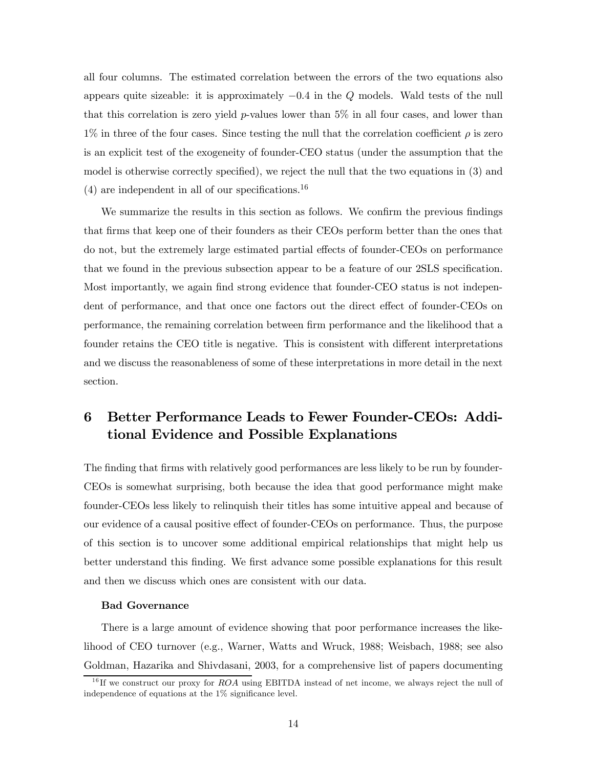all four columns. The estimated correlation between the errors of the two equations also appears quite sizeable: it is approximately  $-0.4$  in the Q models. Wald tests of the null that this correlation is zero yield  $p$ -values lower than 5% in all four cases, and lower than  $1\%$  in three of the four cases. Since testing the null that the correlation coefficient  $\rho$  is zero is an explicit test of the exogeneity of founder-CEO status (under the assumption that the model is otherwise correctly specified), we reject the null that the two equations in (3) and  $(4)$  are independent in all of our specifications.<sup>16</sup>

We summarize the results in this section as follows. We confirm the previous findings that firms that keep one of their founders as their CEOs perform better than the ones that do not, but the extremely large estimated partial effects of founder-CEOs on performance that we found in the previous subsection appear to be a feature of our 2SLS specification. Most importantly, we again find strong evidence that founder-CEO status is not independent of performance, and that once one factors out the direct effect of founder-CEOs on performance, the remaining correlation between firm performance and the likelihood that a founder retains the CEO title is negative. This is consistent with different interpretations and we discuss the reasonableness of some of these interpretations in more detail in the next section.

# 6 Better Performance Leads to Fewer Founder-CEOs: Additional Evidence and Possible Explanations

The finding that firms with relatively good performances are less likely to be run by founder-CEOs is somewhat surprising, both because the idea that good performance might make founder-CEOs less likely to relinquish their titles has some intuitive appeal and because of our evidence of a causal positive effect of founder-CEOs on performance. Thus, the purpose of this section is to uncover some additional empirical relationships that might help us better understand this finding. We first advance some possible explanations for this result and then we discuss which ones are consistent with our data.

#### Bad Governance

There is a large amount of evidence showing that poor performance increases the likelihood of CEO turnover (e.g., Warner, Watts and Wruck, 1988; Weisbach, 1988; see also Goldman, Hazarika and Shivdasani, 2003, for a comprehensive list of papers documenting

 $16$  If we construct our proxy for ROA using EBITDA instead of net income, we always reject the null of independence of equations at the 1% significance level.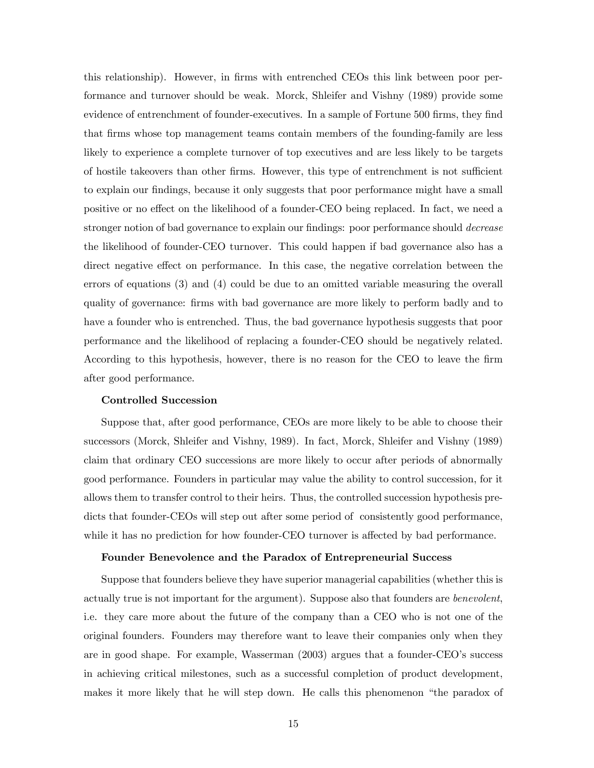this relationship). However, in firms with entrenched CEOs this link between poor performance and turnover should be weak. Morck, Shleifer and Vishny (1989) provide some evidence of entrenchment of founder-executives. In a sample of Fortune 500 firms, they find that firms whose top management teams contain members of the founding-family are less likely to experience a complete turnover of top executives and are less likely to be targets of hostile takeovers than other firms. However, this type of entrenchment is not sufficient to explain our findings, because it only suggests that poor performance might have a small positive or no effect on the likelihood of a founder-CEO being replaced. In fact, we need a stronger notion of bad governance to explain our findings: poor performance should *decrease* the likelihood of founder-CEO turnover. This could happen if bad governance also has a direct negative effect on performance. In this case, the negative correlation between the errors of equations (3) and (4) could be due to an omitted variable measuring the overall quality of governance: firms with bad governance are more likely to perform badly and to have a founder who is entrenched. Thus, the bad governance hypothesis suggests that poor performance and the likelihood of replacing a founder-CEO should be negatively related. According to this hypothesis, however, there is no reason for the CEO to leave the firm after good performance.

#### Controlled Succession

Suppose that, after good performance, CEOs are more likely to be able to choose their successors (Morck, Shleifer and Vishny, 1989). In fact, Morck, Shleifer and Vishny (1989) claim that ordinary CEO successions are more likely to occur after periods of abnormally good performance. Founders in particular may value the ability to control succession, for it allows them to transfer control to their heirs. Thus, the controlled succession hypothesis predicts that founder-CEOs will step out after some period of consistently good performance, while it has no prediction for how founder-CEO turnover is affected by bad performance.

#### Founder Benevolence and the Paradox of Entrepreneurial Success

Suppose that founders believe they have superior managerial capabilities (whether this is actually true is not important for the argument). Suppose also that founders are benevolent, i.e. they care more about the future of the company than a CEO who is not one of the original founders. Founders may therefore want to leave their companies only when they are in good shape. For example, Wasserman (2003) argues that a founder-CEO's success in achieving critical milestones, such as a successful completion of product development, makes it more likely that he will step down. He calls this phenomenon "the paradox of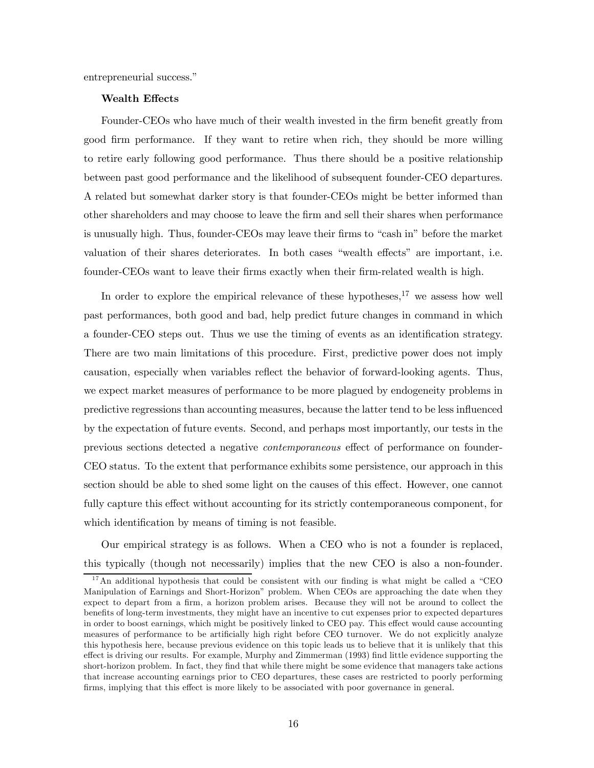entrepreneurial success."

#### Wealth Effects

Founder-CEOs who have much of their wealth invested in the firm benefit greatly from good firm performance. If they want to retire when rich, they should be more willing to retire early following good performance. Thus there should be a positive relationship between past good performance and the likelihood of subsequent founder-CEO departures. A related but somewhat darker story is that founder-CEOs might be better informed than other shareholders and may choose to leave the firm and sell their shares when performance is unusually high. Thus, founder-CEOs may leave their firms to "cash in" before the market valuation of their shares deteriorates. In both cases "wealth effects" are important, i.e. founder-CEOs want to leave their firms exactly when their firm-related wealth is high.

In order to explore the empirical relevance of these hypotheses, $17$  we assess how well past performances, both good and bad, help predict future changes in command in which a founder-CEO steps out. Thus we use the timing of events as an identification strategy. There are two main limitations of this procedure. First, predictive power does not imply causation, especially when variables reflect the behavior of forward-looking agents. Thus, we expect market measures of performance to be more plagued by endogeneity problems in predictive regressions than accounting measures, because the latter tend to be less influenced by the expectation of future events. Second, and perhaps most importantly, our tests in the previous sections detected a negative contemporaneous effect of performance on founder-CEO status. To the extent that performance exhibits some persistence, our approach in this section should be able to shed some light on the causes of this effect. However, one cannot fully capture this effect without accounting for its strictly contemporaneous component, for which identification by means of timing is not feasible.

Our empirical strategy is as follows. When a CEO who is not a founder is replaced, this typically (though not necessarily) implies that the new CEO is also a non-founder.

 $17$ An additional hypothesis that could be consistent with our finding is what might be called a "CEO Manipulation of Earnings and Short-Horizon" problem. When CEOs are approaching the date when they expect to depart from a firm, a horizon problem arises. Because they will not be around to collect the benefits of long-term investments, they might have an incentive to cut expenses prior to expected departures in order to boost earnings, which might be positively linked to CEO pay. This effect would cause accounting measures of performance to be artificially high right before CEO turnover. We do not explicitly analyze this hypothesis here, because previous evidence on this topic leads us to believe that it is unlikely that this effect is driving our results. For example, Murphy and Zimmerman (1993) find little evidence supporting the short-horizon problem. In fact, they find that while there might be some evidence that managers take actions that increase accounting earnings prior to CEO departures, these cases are restricted to poorly performing firms, implying that this effect is more likely to be associated with poor governance in general.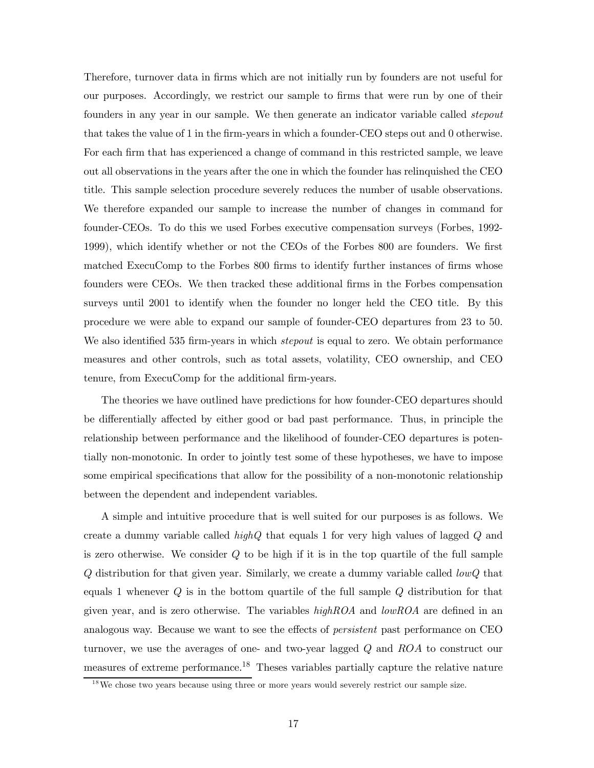Therefore, turnover data in firms which are not initially run by founders are not useful for our purposes. Accordingly, we restrict our sample to firms that were run by one of their founders in any year in our sample. We then generate an indicator variable called stepout that takes the value of 1 in the firm-years in which a founder-CEO steps out and 0 otherwise. For each firm that has experienced a change of command in this restricted sample, we leave out all observations in the years after the one in which the founder has relinquished the CEO title. This sample selection procedure severely reduces the number of usable observations. We therefore expanded our sample to increase the number of changes in command for founder-CEOs. To do this we used Forbes executive compensation surveys (Forbes, 1992- 1999), which identify whether or not the CEOs of the Forbes 800 are founders. We first matched ExecuComp to the Forbes 800 firms to identify further instances of firms whose founders were CEOs. We then tracked these additional firms in the Forbes compensation surveys until 2001 to identify when the founder no longer held the CEO title. By this procedure we were able to expand our sample of founder-CEO departures from 23 to 50. We also identified 535 firm-years in which *stepout* is equal to zero. We obtain performance measures and other controls, such as total assets, volatility, CEO ownership, and CEO tenure, from ExecuComp for the additional firm-years.

The theories we have outlined have predictions for how founder-CEO departures should be differentially affected by either good or bad past performance. Thus, in principle the relationship between performance and the likelihood of founder-CEO departures is potentially non-monotonic. In order to jointly test some of these hypotheses, we have to impose some empirical specifications that allow for the possibility of a non-monotonic relationship between the dependent and independent variables.

A simple and intuitive procedure that is well suited for our purposes is as follows. We create a dummy variable called  $highQ$  that equals 1 for very high values of lagged  $Q$  and is zero otherwise. We consider  $Q$  to be high if it is in the top quartile of the full sample Q distribution for that given year. Similarly, we create a dummy variable called lowQ that equals 1 whenever  $Q$  is in the bottom quartile of the full sample  $Q$  distribution for that given year, and is zero otherwise. The variables  $highROA$  and  $lowROA$  are defined in an analogous way. Because we want to see the effects of persistent past performance on CEO turnover, we use the averages of one- and two-year lagged Q and ROA to construct our measures of extreme performance.18 Theses variables partially capture the relative nature

 $1<sup>8</sup>$  We chose two years because using three or more years would severely restrict our sample size.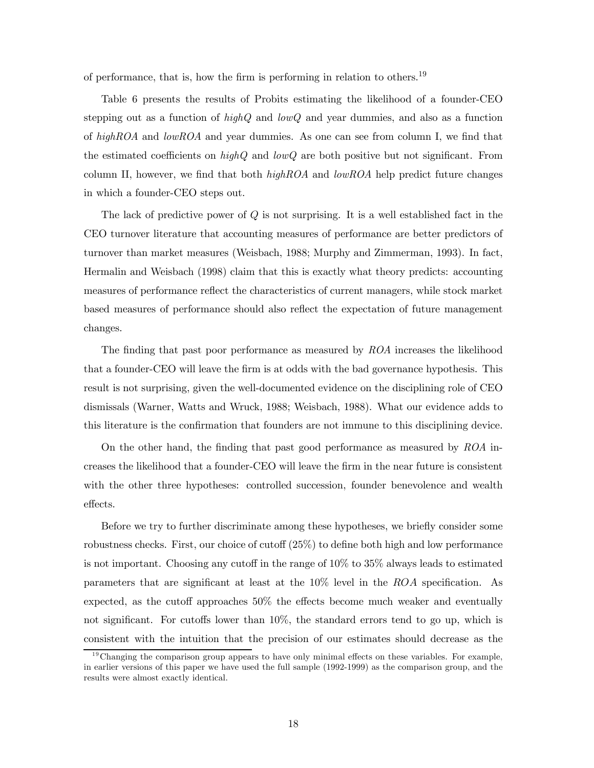of performance, that is, how the firm is performing in relation to others.<sup>19</sup>

Table 6 presents the results of Probits estimating the likelihood of a founder-CEO stepping out as a function of  $highQ$  and  $lowQ$  and year dummies, and also as a function of highROA and lowROA and year dummies. As one can see from column I, we find that the estimated coefficients on  $highQ$  and  $lowQ$  are both positive but not significant. From column II, however, we find that both  $highROA$  and  $lowROA$  help predict future changes in which a founder-CEO steps out.

The lack of predictive power of  $Q$  is not surprising. It is a well established fact in the CEO turnover literature that accounting measures of performance are better predictors of turnover than market measures (Weisbach, 1988; Murphy and Zimmerman, 1993). In fact, Hermalin and Weisbach (1998) claim that this is exactly what theory predicts: accounting measures of performance reflect the characteristics of current managers, while stock market based measures of performance should also reflect the expectation of future management changes.

The finding that past poor performance as measured by ROA increases the likelihood that a founder-CEO will leave the firm is at odds with the bad governance hypothesis. This result is not surprising, given the well-documented evidence on the disciplining role of CEO dismissals (Warner, Watts and Wruck, 1988; Weisbach, 1988). What our evidence adds to this literature is the confirmation that founders are not immune to this disciplining device.

On the other hand, the finding that past good performance as measured by ROA increases the likelihood that a founder-CEO will leave the firm in the near future is consistent with the other three hypotheses: controlled succession, founder benevolence and wealth effects.

Before we try to further discriminate among these hypotheses, we briefly consider some robustness checks. First, our choice of cutoff (25%) to define both high and low performance is not important. Choosing any cutoff in the range of 10% to 35% always leads to estimated parameters that are significant at least at the 10% level in the ROA specification. As expected, as the cutoff approaches 50% the effects become much weaker and eventually not significant. For cutoffs lower than 10%, the standard errors tend to go up, which is consistent with the intuition that the precision of our estimates should decrease as the

 $19$ Changing the comparison group appears to have only minimal effects on these variables. For example, in earlier versions of this paper we have used the full sample (1992-1999) as the comparison group, and the results were almost exactly identical.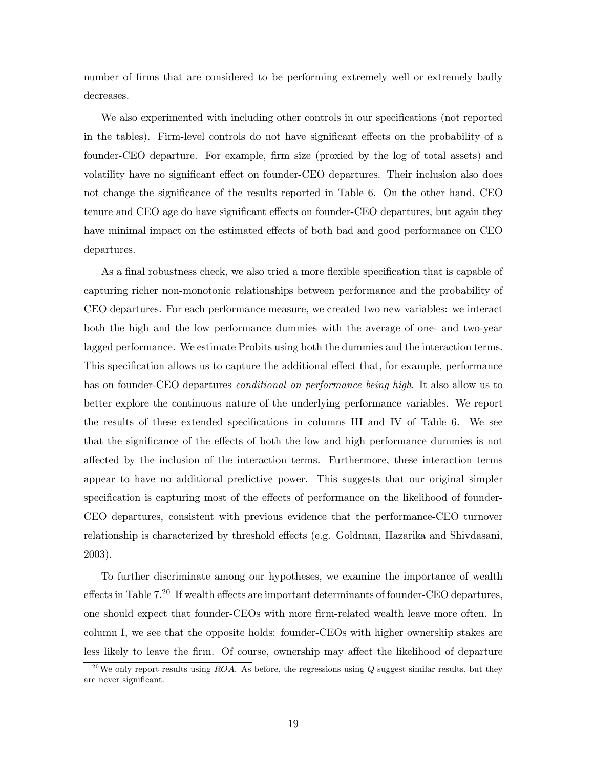number of firms that are considered to be performing extremely well or extremely badly decreases.

We also experimented with including other controls in our specifications (not reported in the tables). Firm-level controls do not have significant effects on the probability of a founder-CEO departure. For example, firm size (proxied by the log of total assets) and volatility have no significant effect on founder-CEO departures. Their inclusion also does not change the significance of the results reported in Table 6. On the other hand, CEO tenure and CEO age do have significant effects on founder-CEO departures, but again they have minimal impact on the estimated effects of both bad and good performance on CEO departures.

As a final robustness check, we also tried a more flexible specification that is capable of capturing richer non-monotonic relationships between performance and the probability of CEO departures. For each performance measure, we created two new variables: we interact both the high and the low performance dummies with the average of one- and two-year lagged performance. We estimate Probits using both the dummies and the interaction terms. This specification allows us to capture the additional effect that, for example, performance has on founder-CEO departures *conditional on performance being high*. It also allow us to better explore the continuous nature of the underlying performance variables. We report the results of these extended specifications in columns III and IV of Table 6. We see that the significance of the effects of both the low and high performance dummies is not affected by the inclusion of the interaction terms. Furthermore, these interaction terms appear to have no additional predictive power. This suggests that our original simpler specification is capturing most of the effects of performance on the likelihood of founder-CEO departures, consistent with previous evidence that the performance-CEO turnover relationship is characterized by threshold effects (e.g. Goldman, Hazarika and Shivdasani, 2003).

To further discriminate among our hypotheses, we examine the importance of wealth effects in Table 7.20 If wealth effects are important determinants of founder-CEO departures, one should expect that founder-CEOs with more firm-related wealth leave more often. In column I, we see that the opposite holds: founder-CEOs with higher ownership stakes are less likely to leave the firm. Of course, ownership may affect the likelihood of departure

<sup>&</sup>lt;sup>20</sup>We only report results using ROA. As before, the regressions using  $Q$  suggest similar results, but they are never significant.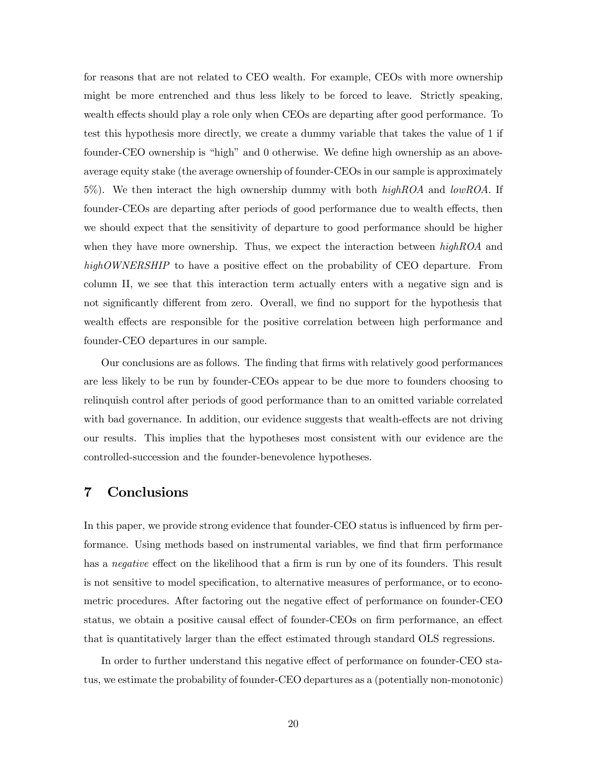for reasons that are not related to CEO wealth. For example, CEOs with more ownership might be more entrenched and thus less likely to be forced to leave. Strictly speaking, wealth effects should play a role only when CEOs are departing after good performance. To test this hypothesis more directly, we create a dummy variable that takes the value of 1 if founder-CEO ownership is "high" and 0 otherwise. We define high ownership as an aboveaverage equity stake (the average ownership of founder-CEOs in our sample is approximately 5%). We then interact the high ownership dummy with both  $highROA$  and  $lowROA$ . If founder-CEOs are departing after periods of good performance due to wealth effects, then we should expect that the sensitivity of departure to good performance should be higher when they have more ownership. Thus, we expect the interaction between  $highROA$  and highOWNERSHIP to have a positive effect on the probability of CEO departure. From column II, we see that this interaction term actually enters with a negative sign and is not significantly different from zero. Overall, we find no support for the hypothesis that wealth effects are responsible for the positive correlation between high performance and founder-CEO departures in our sample.

Our conclusions are as follows. The finding that firms with relatively good performances are less likely to be run by founder-CEOs appear to be due more to founders choosing to relinquish control after periods of good performance than to an omitted variable correlated with bad governance. In addition, our evidence suggests that wealth-effects are not driving our results. This implies that the hypotheses most consistent with our evidence are the controlled-succession and the founder-benevolence hypotheses.

## 7 Conclusions

In this paper, we provide strong evidence that founder-CEO status is influenced by firm performance. Using methods based on instrumental variables, we find that firm performance has a *negative* effect on the likelihood that a firm is run by one of its founders. This result is not sensitive to model specification, to alternative measures of performance, or to econometric procedures. After factoring out the negative effect of performance on founder-CEO status, we obtain a positive causal effect of founder-CEOs on firm performance, an effect that is quantitatively larger than the effect estimated through standard OLS regressions.

In order to further understand this negative effect of performance on founder-CEO status, we estimate the probability of founder-CEO departures as a (potentially non-monotonic)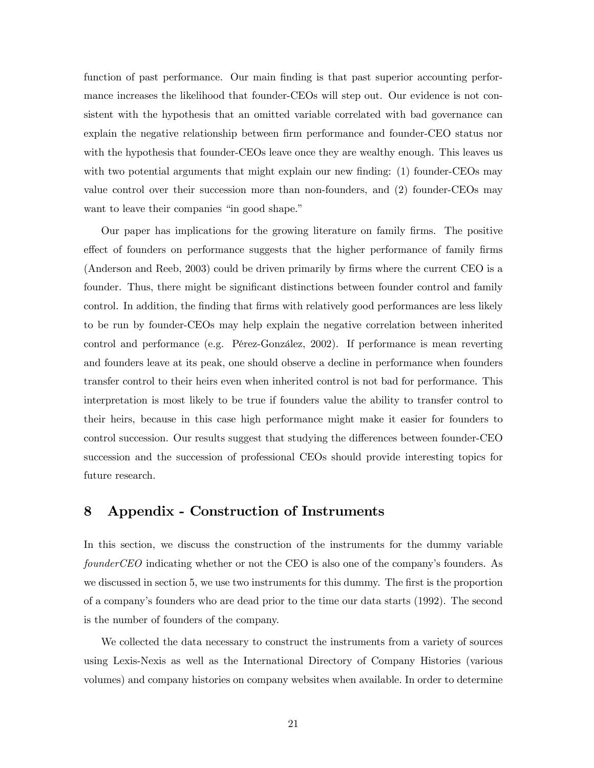function of past performance. Our main finding is that past superior accounting performance increases the likelihood that founder-CEOs will step out. Our evidence is not consistent with the hypothesis that an omitted variable correlated with bad governance can explain the negative relationship between firm performance and founder-CEO status nor with the hypothesis that founder-CEOs leave once they are wealthy enough. This leaves us with two potential arguments that might explain our new finding: (1) founder-CEOs may value control over their succession more than non-founders, and (2) founder-CEOs may want to leave their companies "in good shape."

Our paper has implications for the growing literature on family firms. The positive effect of founders on performance suggests that the higher performance of family firms (Anderson and Reeb, 2003) could be driven primarily by firms where the current CEO is a founder. Thus, there might be significant distinctions between founder control and family control. In addition, the finding that firms with relatively good performances are less likely to be run by founder-CEOs may help explain the negative correlation between inherited control and performance (e.g. Pérez-González, 2002). If performance is mean reverting and founders leave at its peak, one should observe a decline in performance when founders transfer control to their heirs even when inherited control is not bad for performance. This interpretation is most likely to be true if founders value the ability to transfer control to their heirs, because in this case high performance might make it easier for founders to control succession. Our results suggest that studying the differences between founder-CEO succession and the succession of professional CEOs should provide interesting topics for future research.

## 8 Appendix - Construction of Instruments

In this section, we discuss the construction of the instruments for the dummy variable founderCEO indicating whether or not the CEO is also one of the company's founders. As we discussed in section 5, we use two instruments for this dummy. The first is the proportion of a company's founders who are dead prior to the time our data starts (1992). The second is the number of founders of the company.

We collected the data necessary to construct the instruments from a variety of sources using Lexis-Nexis as well as the International Directory of Company Histories (various volumes) and company histories on company websites when available. In order to determine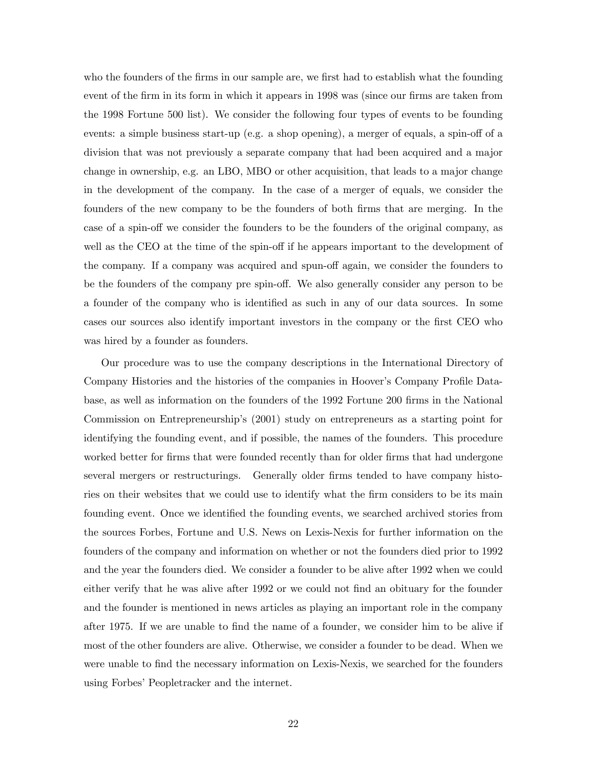who the founders of the firms in our sample are, we first had to establish what the founding event of the firm in its form in which it appears in 1998 was (since our firms are taken from the 1998 Fortune 500 list). We consider the following four types of events to be founding events: a simple business start-up (e.g. a shop opening), a merger of equals, a spin-off of a division that was not previously a separate company that had been acquired and a major change in ownership, e.g. an LBO, MBO or other acquisition, that leads to a major change in the development of the company. In the case of a merger of equals, we consider the founders of the new company to be the founders of both firms that are merging. In the case of a spin-off we consider the founders to be the founders of the original company, as well as the CEO at the time of the spin-off if he appears important to the development of the company. If a company was acquired and spun-off again, we consider the founders to be the founders of the company pre spin-off. We also generally consider any person to be a founder of the company who is identified as such in any of our data sources. In some cases our sources also identify important investors in the company or the first CEO who was hired by a founder as founders.

Our procedure was to use the company descriptions in the International Directory of Company Histories and the histories of the companies in Hoover's Company Profile Database, as well as information on the founders of the 1992 Fortune 200 firms in the National Commission on Entrepreneurship's (2001) study on entrepreneurs as a starting point for identifying the founding event, and if possible, the names of the founders. This procedure worked better for firms that were founded recently than for older firms that had undergone several mergers or restructurings. Generally older firms tended to have company histories on their websites that we could use to identify what the firm considers to be its main founding event. Once we identified the founding events, we searched archived stories from the sources Forbes, Fortune and U.S. News on Lexis-Nexis for further information on the founders of the company and information on whether or not the founders died prior to 1992 and the year the founders died. We consider a founder to be alive after 1992 when we could either verify that he was alive after 1992 or we could not find an obituary for the founder and the founder is mentioned in news articles as playing an important role in the company after 1975. If we are unable to find the name of a founder, we consider him to be alive if most of the other founders are alive. Otherwise, we consider a founder to be dead. When we were unable to find the necessary information on Lexis-Nexis, we searched for the founders using Forbes' Peopletracker and the internet.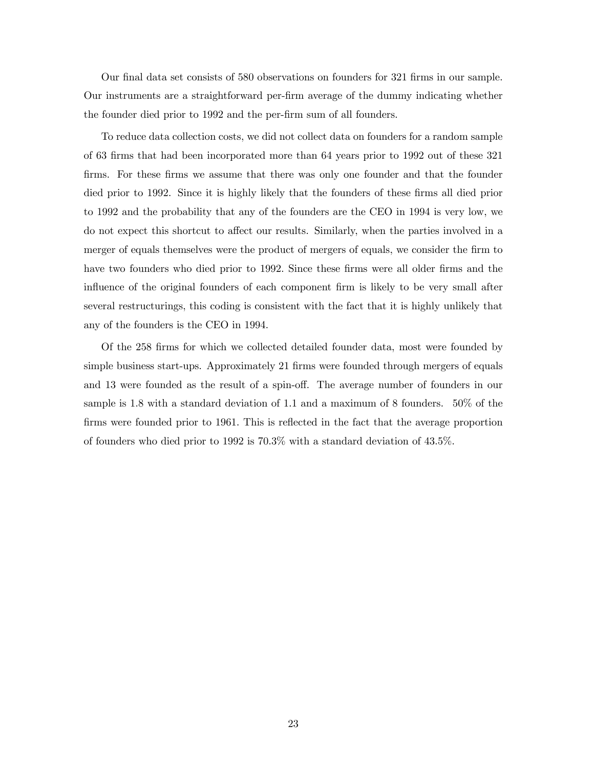Our final data set consists of 580 observations on founders for 321 firms in our sample. Our instruments are a straightforward per-firm average of the dummy indicating whether the founder died prior to 1992 and the per-firm sum of all founders.

To reduce data collection costs, we did not collect data on founders for a random sample of 63 firms that had been incorporated more than 64 years prior to 1992 out of these 321 firms. For these firms we assume that there was only one founder and that the founder died prior to 1992. Since it is highly likely that the founders of these firms all died prior to 1992 and the probability that any of the founders are the CEO in 1994 is very low, we do not expect this shortcut to affect our results. Similarly, when the parties involved in a merger of equals themselves were the product of mergers of equals, we consider the firm to have two founders who died prior to 1992. Since these firms were all older firms and the influence of the original founders of each component firm is likely to be very small after several restructurings, this coding is consistent with the fact that it is highly unlikely that any of the founders is the CEO in 1994.

Of the 258 firms for which we collected detailed founder data, most were founded by simple business start-ups. Approximately 21 firms were founded through mergers of equals and 13 were founded as the result of a spin-off. The average number of founders in our sample is 1.8 with a standard deviation of 1.1 and a maximum of 8 founders. 50% of the firms were founded prior to 1961. This is reflected in the fact that the average proportion of founders who died prior to 1992 is 70.3% with a standard deviation of 43.5%.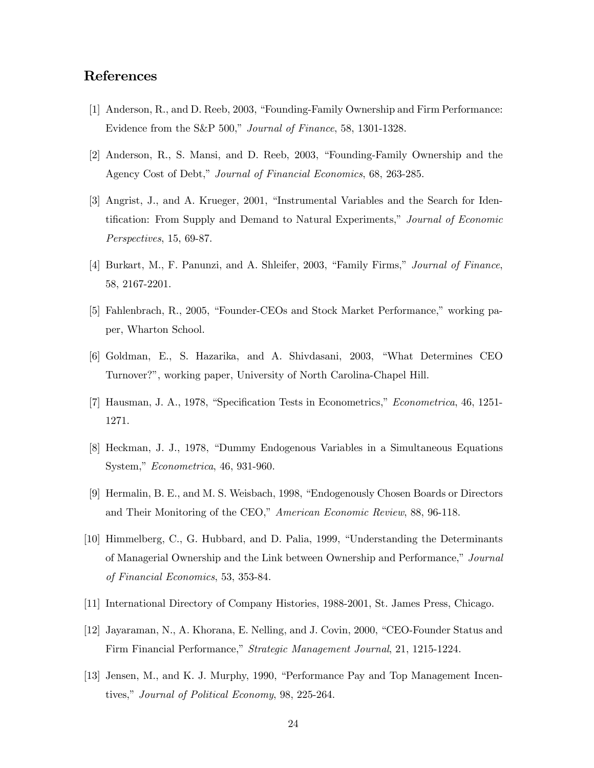# References

- [1] Anderson, R., and D. Reeb, 2003, "Founding-Family Ownership and Firm Performance: Evidence from the S&P 500," Journal of Finance, 58, 1301-1328.
- [2] Anderson, R., S. Mansi, and D. Reeb, 2003, "Founding-Family Ownership and the Agency Cost of Debt," Journal of Financial Economics, 68, 263-285.
- [3] Angrist, J., and A. Krueger, 2001, "Instrumental Variables and the Search for Identification: From Supply and Demand to Natural Experiments," Journal of Economic Perspectives, 15, 69-87.
- [4] Burkart, M., F. Panunzi, and A. Shleifer, 2003, "Family Firms," Journal of Finance, 58, 2167-2201.
- [5] Fahlenbrach, R., 2005, "Founder-CEOs and Stock Market Performance," working paper, Wharton School.
- [6] Goldman, E., S. Hazarika, and A. Shivdasani, 2003, "What Determines CEO Turnover?", working paper, University of North Carolina-Chapel Hill.
- [7] Hausman, J. A., 1978, "Specification Tests in Econometrics," Econometrica, 46, 1251- 1271.
- [8] Heckman, J. J., 1978, "Dummy Endogenous Variables in a Simultaneous Equations System," Econometrica, 46, 931-960.
- [9] Hermalin, B. E., and M. S. Weisbach, 1998, "Endogenously Chosen Boards or Directors and Their Monitoring of the CEO," American Economic Review, 88, 96-118.
- [10] Himmelberg, C., G. Hubbard, and D. Palia, 1999, "Understanding the Determinants of Managerial Ownership and the Link between Ownership and Performance," Journal of Financial Economics, 53, 353-84.
- [11] International Directory of Company Histories, 1988-2001, St. James Press, Chicago.
- [12] Jayaraman, N., A. Khorana, E. Nelling, and J. Covin, 2000, "CEO-Founder Status and Firm Financial Performance," Strategic Management Journal, 21, 1215-1224.
- [13] Jensen, M., and K. J. Murphy, 1990, "Performance Pay and Top Management Incentives," Journal of Political Economy, 98, 225-264.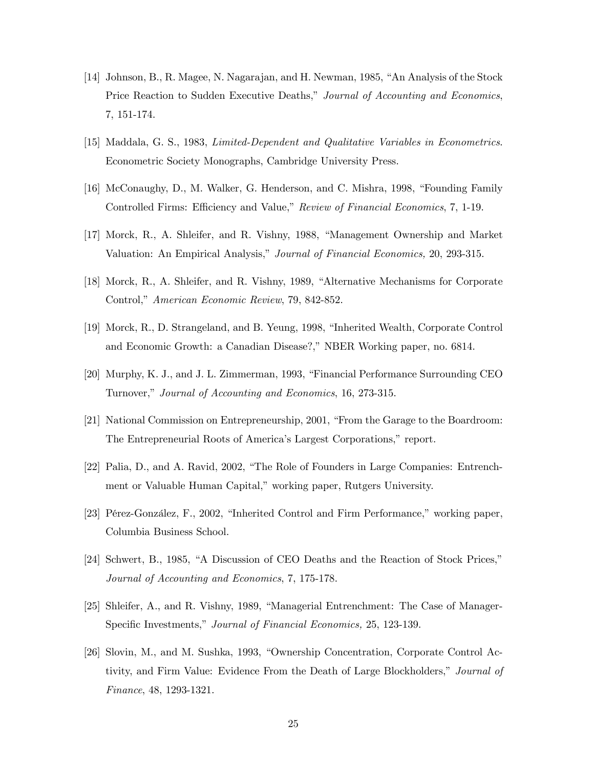- [14] Johnson, B., R. Magee, N. Nagarajan, and H. Newman, 1985, "An Analysis of the Stock Price Reaction to Sudden Executive Deaths," Journal of Accounting and Economics, 7, 151-174.
- [15] Maddala, G. S., 1983, Limited-Dependent and Qualitative Variables in Econometrics. Econometric Society Monographs, Cambridge University Press.
- [16] McConaughy, D., M. Walker, G. Henderson, and C. Mishra, 1998, "Founding Family Controlled Firms: Efficiency and Value," Review of Financial Economics, 7, 1-19.
- [17] Morck, R., A. Shleifer, and R. Vishny, 1988, "Management Ownership and Market Valuation: An Empirical Analysis," Journal of Financial Economics, 20, 293-315.
- [18] Morck, R., A. Shleifer, and R. Vishny, 1989, "Alternative Mechanisms for Corporate Control," American Economic Review, 79, 842-852.
- [19] Morck, R., D. Strangeland, and B. Yeung, 1998, "Inherited Wealth, Corporate Control and Economic Growth: a Canadian Disease?," NBER Working paper, no. 6814.
- [20] Murphy, K. J., and J. L. Zimmerman, 1993, "Financial Performance Surrounding CEO Turnover," Journal of Accounting and Economics, 16, 273-315.
- [21] National Commission on Entrepreneurship, 2001, "From the Garage to the Boardroom: The Entrepreneurial Roots of America's Largest Corporations," report.
- [22] Palia, D., and A. Ravid, 2002, "The Role of Founders in Large Companies: Entrenchment or Valuable Human Capital," working paper, Rutgers University.
- [23] Pérez-González, F., 2002, "Inherited Control and Firm Performance," working paper, Columbia Business School.
- [24] Schwert, B., 1985, "A Discussion of CEO Deaths and the Reaction of Stock Prices," Journal of Accounting and Economics, 7, 175-178.
- [25] Shleifer, A., and R. Vishny, 1989, "Managerial Entrenchment: The Case of Manager-Specific Investments," Journal of Financial Economics, 25, 123-139.
- [26] Slovin, M., and M. Sushka, 1993, "Ownership Concentration, Corporate Control Activity, and Firm Value: Evidence From the Death of Large Blockholders," Journal of Finance, 48, 1293-1321.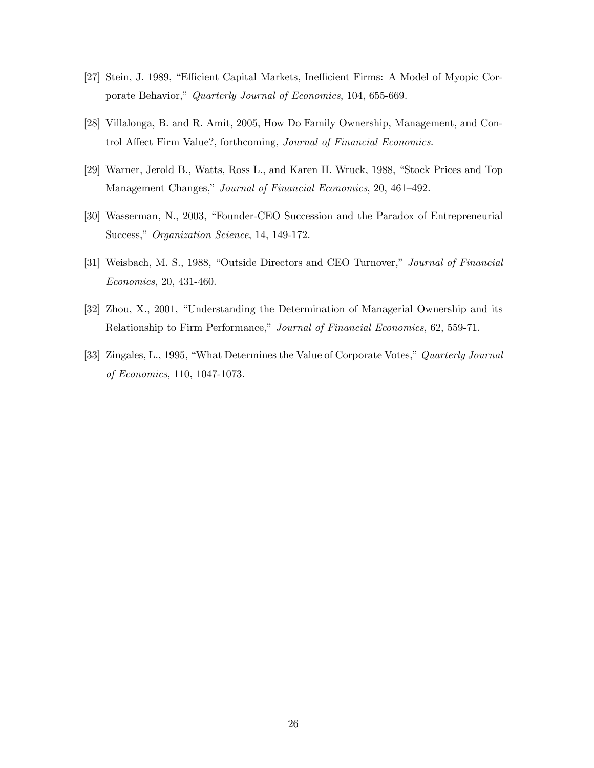- [27] Stein, J. 1989, "Efficient Capital Markets, Inefficient Firms: A Model of Myopic Corporate Behavior," Quarterly Journal of Economics, 104, 655-669.
- [28] Villalonga, B. and R. Amit, 2005, How Do Family Ownership, Management, and Control Affect Firm Value?, forthcoming, Journal of Financial Economics.
- [29] Warner, Jerold B., Watts, Ross L., and Karen H. Wruck, 1988, "Stock Prices and Top Management Changes," Journal of Financial Economics, 20, 461—492.
- [30] Wasserman, N., 2003, "Founder-CEO Succession and the Paradox of Entrepreneurial Success," Organization Science, 14, 149-172.
- [31] Weisbach, M. S., 1988, "Outside Directors and CEO Turnover," Journal of Financial Economics, 20, 431-460.
- [32] Zhou, X., 2001, "Understanding the Determination of Managerial Ownership and its Relationship to Firm Performance," Journal of Financial Economics, 62, 559-71.
- [33] Zingales, L., 1995, "What Determines the Value of Corporate Votes," Quarterly Journal of Economics, 110, 1047-1073.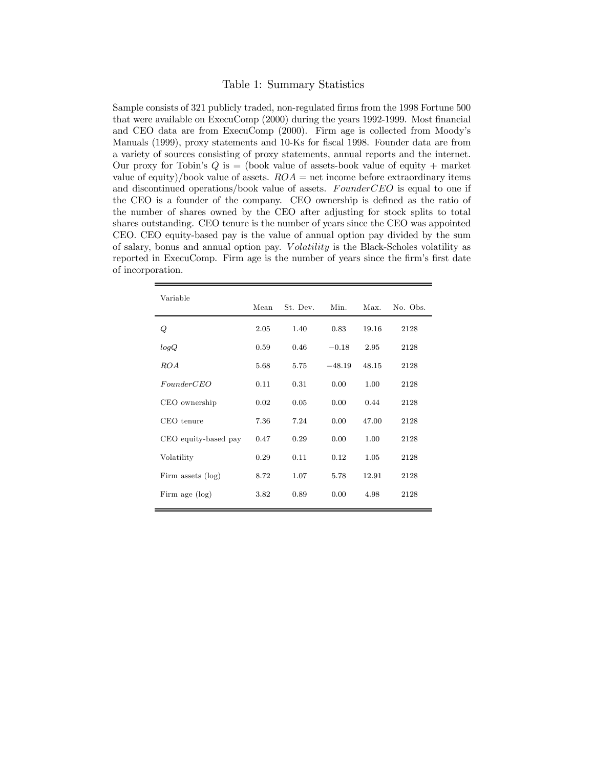#### Table 1: Summary Statistics

Sample consists of 321 publicly traded, non-regulated firms from the 1998 Fortune 500 that were available on ExecuComp (2000) during the years 1992-1999. Most financial and CEO data are from ExecuComp (2000). Firm age is collected from Moodyís Manuals (1999), proxy statements and 10-Ks for fiscal 1998. Founder data are from a variety of sources consisting of proxy statements, annual reports and the internet. Our proxy for Tobin's  $Q$  is  $=$  (book value of assets-book value of equity  $+$  market value of equity)/book value of assets.  $ROA =$  net income before extraordinary items and discontinued operations/book value of assets. FounderCEO is equal to one if the CEO is a founder of the company. CEO ownership is defined as the ratio of the number of shares owned by the CEO after adjusting for stock splits to total shares outstanding. CEO tenure is the number of years since the CEO was appointed CEO. CEO equity-based pay is the value of annual option pay divided by the sum of salary, bonus and annual option pay. Volatility is the Black-Scholes volatility as reported in ExecuComp. Firm age is the number of years since the firmís first date of incorporation.

| Variable             | Mean | St Dev | Min.     | Max.  | No. Obs. |
|----------------------|------|--------|----------|-------|----------|
|                      |      |        |          |       |          |
| Q                    | 2.05 | 1.40   | 0.83     | 19.16 | 2128     |
| logQ                 | 0.59 | 0.46   | $-0.18$  | 2.95  | 2128     |
| <i>ROA</i>           | 5.68 | 5.75   | $-48.19$ | 48.15 | 2128     |
| FounderCEO           | 0.11 | 0.31   | 0.00     | 1.00  | 2128     |
| CEO ownership        | 0.02 | 0.05   | 0.00     | 0.44  | 2128     |
| CEO tenure           | 7.36 | 7.24   | 0.00     | 47.00 | 2128     |
| CEO equity-based pay | 0.47 | 0.29   | 0.00     | 1.00  | 2128     |
| Volatility           | 0.29 | 0.11   | 0.12     | 1.05  | 2128     |
| Firm assets $(\log)$ | 8.72 | 1.07   | 5.78     | 12.91 | 2128     |
| Firm age $(log)$     | 3.82 | 0.89   | 0.00     | 4.98  | 2128     |
|                      |      |        |          |       |          |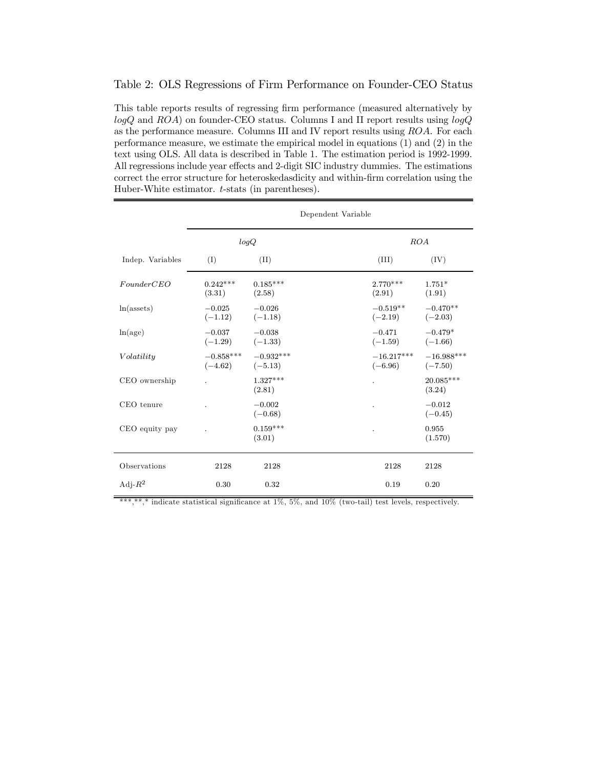#### Table 2: OLS Regressions of Firm Performance on Founder-CEO Status

This table reports results of regressing firm performance (measured alternatively by  $logQ$  and  $ROA$ ) on founder-CEO status. Columns I and II report results using  $logQ$ as the performance measure. Columns III and IV report results using ROA. For each performance measure, we estimate the empirical model in equations (1) and (2) in the text using OLS. All data is described in Table 1. The estimation period is 1992-1999. All regressions include year effects and 2-digit SIC industry dummies. The estimations correct the error structure for heteroskedasdicity and within-firm correlation using the Huber-White estimator. t-stats (in parentheses).

|                  | Dependent Variable              |                         |  |                                                  |                       |  |
|------------------|---------------------------------|-------------------------|--|--------------------------------------------------|-----------------------|--|
|                  | logQ                            |                         |  | ROA                                              |                       |  |
| Indep. Variables | (I)                             | (II)                    |  | (III)                                            | (IV)                  |  |
| FounderCEO       | $0.242***$<br>(3.31)            | $0.185***$<br>(2.58)    |  | $2.770***$<br>(2.91)                             | $1.751*$<br>(1.91)    |  |
| $ln($ assets $)$ | $-0.025$<br>$(-1.12)$ $(-1.18)$ | $-0.026$                |  | $-0.519**$<br>$(-2.19)$ $(-2.03)$                | $-0.470**$            |  |
| ln(age)          | $-0.037$<br>$(-1.29)$ $(-1.33)$ | $-0.038$                |  | $-0.471$<br>$(-1.59)$ $(-1.66)$                  | $-0.479*$             |  |
| Volatility       | $(-4.62)$ $(-5.13)$             | $-0.858***$ $-0.932***$ |  | $-16.217***$ $-16.988***$<br>$(-6.96)$ $(-7.50)$ |                       |  |
| CEO ownership    |                                 | $1.327***$<br>(2.81)    |  |                                                  | $20.085***$<br>(3.24) |  |
| CEO tenure       |                                 | $-0.002$<br>$(-0.68)$   |  |                                                  | $-0.012$<br>$(-0.45)$ |  |
| CEO equity pay   |                                 | $0.159***$<br>(3.01)    |  |                                                  | 0.955<br>(1.570)      |  |
| Observations     | 2128                            | 2128                    |  | 2128                                             | 2128                  |  |
| Adj- $R^2$       | 0.30                            | 0.32                    |  | 0.19                                             | 0.20                  |  |

\*\*\*,\*\*,\* indicate statistical significance at 1%, 5%, and 10% (two-tail) test levels, respectively.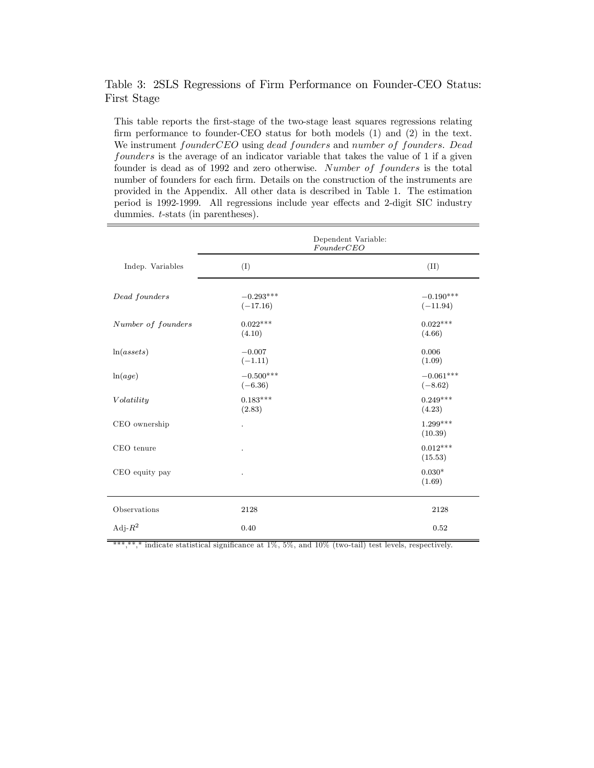## Table 3: 2SLS Regressions of Firm Performance on Founder-CEO Status: First Stage

This table reports the first-stage of the two-stage least squares regressions relating firm performance to founder-CEO status for both models (1) and (2) in the text. We instrument founderCEO using dead founders and number of founders. Dead founders is the average of an indicator variable that takes the value of 1 if a given founder is dead as of 1992 and zero otherwise. Number of founders is the total number of founders for each firm. Details on the construction of the instruments are provided in the Appendix. All other data is described in Table 1. The estimation period is 1992-1999. All regressions include year effects and 2-digit SIC industry dummies. t-stats (in parentheses).

|                    | Dependent Variable:<br>FounderCEO |                           |  |
|--------------------|-----------------------------------|---------------------------|--|
| Indep. Variables   | (I)                               | (II)                      |  |
| Dead founders      | $-0.293***$<br>$(-17.16)$         | $-0.190***$<br>$(-11.94)$ |  |
| Number of founders | $0.022***$<br>(4.10)              | $0.022***$<br>(4.66)      |  |
| ln(assets)         | $-0.007$<br>$(-1.11)$             | 0.006<br>(1.09)           |  |
| ln(age)            | $-0.500***$<br>$(-6.36)$          | $-0.061***$<br>$(-8.62)$  |  |
| Volatility         | $0.183***$<br>(2.83)              | $0.249***$<br>(4.23)      |  |
| CEO ownership      | $\ddot{\phantom{0}}$              | $1.299***$<br>(10.39)     |  |
| CEO tenure         | $\ddot{\phantom{0}}$              | $0.012***$<br>(15.53)     |  |
| CEO equity pay     | $\ddot{\phantom{0}}$              | $0.030*$<br>(1.69)        |  |
| Observations       | 2128                              | 2128                      |  |
| Adj- $R^2$         | 0.40                              | 0.52                      |  |

\*\*\*,\*\*,\* indicate statistical significance at  $1\%$ , 5%, and  $10\%$  (two-tail) test levels, respectively.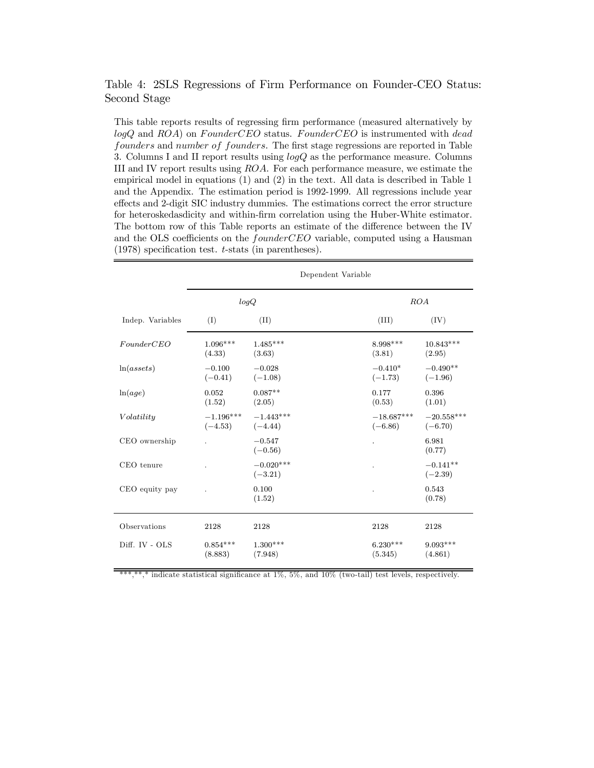### Table 4: 2SLS Regressions of Firm Performance on Founder-CEO Status: Second Stage

This table reports results of regressing firm performance (measured alternatively by  $logQ$  and  $ROA$ ) on  $FounderCEO$  status.  $FounderCEO$  is instrumented with  $dead$ founders and number of founders. The first stage regressions are reported in Table 3. Columns I and II report results using logQ as the performance measure. Columns III and IV report results using ROA. For each performance measure, we estimate the empirical model in equations (1) and (2) in the text. All data is described in Table 1 and the Appendix. The estimation period is 1992-1999. All regressions include year effects and 2-digit SIC industry dummies. The estimations correct the error structure for heteroskedasdicity and within-firm correlation using the Huber-White estimator. The bottom row of this Table reports an estimate of the difference between the IV and the OLS coefficients on the founderCEO variable, computed using a Hausman (1978) specification test. t-stats (in parentheses).

|                  | Dependent Variable       |                          |                           |                           |  |
|------------------|--------------------------|--------------------------|---------------------------|---------------------------|--|
|                  | logQ                     |                          | ROA                       |                           |  |
| Indep. Variables | (I)                      | (II)                     | (III)                     | (IV)                      |  |
| FounderCEO       | $1.096***$<br>(4.33)     | $1.485***$<br>(3.63)     | 8.998***<br>(3.81)        | $10.843***$<br>(2.95)     |  |
| ln(assets)       | $-0.100$<br>$(-0.41)$    | $-0.028$<br>$(-1.08)$    | $-0.410*$<br>$(-1.73)$    | $-0.490**$<br>$(-1.96)$   |  |
| ln(age)          | 0.052<br>(1.52)          | $0.087**$<br>(2.05)      | 0.177<br>(0.53)           | 0.396<br>(1.01)           |  |
| Volatility       | $-1.196***$<br>$(-4.53)$ | $-1.443***$<br>$(-4.44)$ | $-18.687***$<br>$(-6.86)$ | $-20.558***$<br>$(-6.70)$ |  |
| CEO ownership    |                          | $-0.547$<br>$(-0.56)$    |                           | 6.981<br>(0.77)           |  |
| CEO tenure       |                          | $-0.020***$<br>$(-3.21)$ |                           | $-0.141**$<br>$(-2.39)$   |  |
| CEO equity pay   |                          | 0.100<br>(1.52)          |                           | 0.543<br>(0.78)           |  |
| Observations     | 2128                     | 2128                     | 2128                      | 2128                      |  |
| Diff. IV - OLS   | $0.854***$<br>(8.883)    | $1.300***$<br>(7.948)    | $6.230***$<br>(5.345)     | $9.093***$<br>(4.861)     |  |

\*\*\*,\*\*,\* indicate statistical significance at 1%, 5%, and 10% (two-tail) test levels, respectively.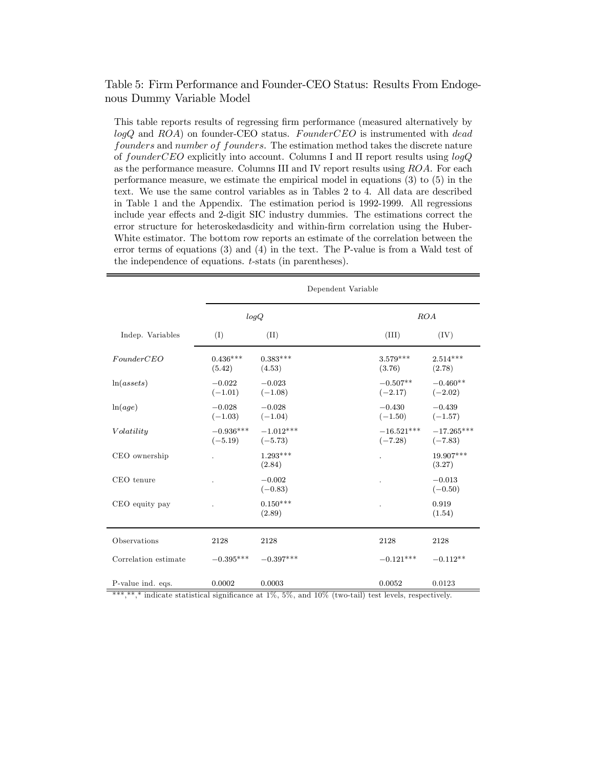### Table 5: Firm Performance and Founder-CEO Status: Results From Endogenous Dummy Variable Model

This table reports results of regressing firm performance (measured alternatively by  $logQ$  and  $ROA$ ) on founder-CEO status. FounderCEO is instrumented with dead founders and number of founders. The estimation method takes the discrete nature of founderCEO explicitly into account. Columns I and II report results using logQ as the performance measure. Columns III and IV report results using ROA. For each performance measure, we estimate the empirical model in equations (3) to (5) in the text. We use the same control variables as in Tables 2 to 4. All data are described in Table 1 and the Appendix. The estimation period is 1992-1999. All regressions include year effects and 2-digit SIC industry dummies. The estimations correct the error structure for heteroskedasdicity and within-firm correlation using the Huber-White estimator. The bottom row reports an estimate of the correlation between the error terms of equations (3) and (4) in the text. The P-value is from a Wald test of the independence of equations. t-stats (in parentheses).

|                      | Dependent Variable       |                          |                           |                           |
|----------------------|--------------------------|--------------------------|---------------------------|---------------------------|
|                      |                          | logQ                     |                           | ROA                       |
| Indep. Variables     | (I)                      | (II)                     | (III)                     | (IV)                      |
| FounderCEO           | $0.436***$<br>(5.42)     | $0.383***$<br>(4.53)     | $3.579***$<br>(3.76)      | $2.514***$<br>(2.78)      |
| ln(assets)           | $-0.022$<br>$(-1.01)$    | $-0.023$<br>$(-1.08)$    | $-0.507**$<br>$(-2.17)$   | $-0.460**$<br>$(-2.02)$   |
| ln(age)              | $-0.028$<br>$(-1.03)$    | $-0.028$<br>$(-1.04)$    | $-0.430$<br>$(-1.50)$     | $-0.439$<br>$(-1.57)$     |
| Volatility           | $-0.936***$<br>$(-5.19)$ | $-1.012***$<br>$(-5.73)$ | $-16.521***$<br>$(-7.28)$ | $-17.265***$<br>$(-7.83)$ |
| CEO ownership        |                          | $1.293***$<br>(2.84)     | $\ddot{\phantom{0}}$      | 19.907***<br>(3.27)       |
| CEO tenure           |                          | $-0.002$<br>$(-0.83)$    |                           | $-0.013$<br>$(-0.50)$     |
| CEO equity pay       |                          | $0.150***$<br>(2.89)     |                           | 0.919<br>(1.54)           |
| Observations         | 2128                     | 2128                     | 2128                      | 2128                      |
| Correlation estimate | $-0.395***$              | $-0.397***$              | $-0.121***$               | $-0.112**$                |
| P-value ind. eqs.    | 0.0002                   | 0.0003                   | 0.0052                    | 0.0123                    |

\*\*\*,\*\*,\* indicate statistical significance at 1%, 5%, and 10% (two-tail) test levels, respectively.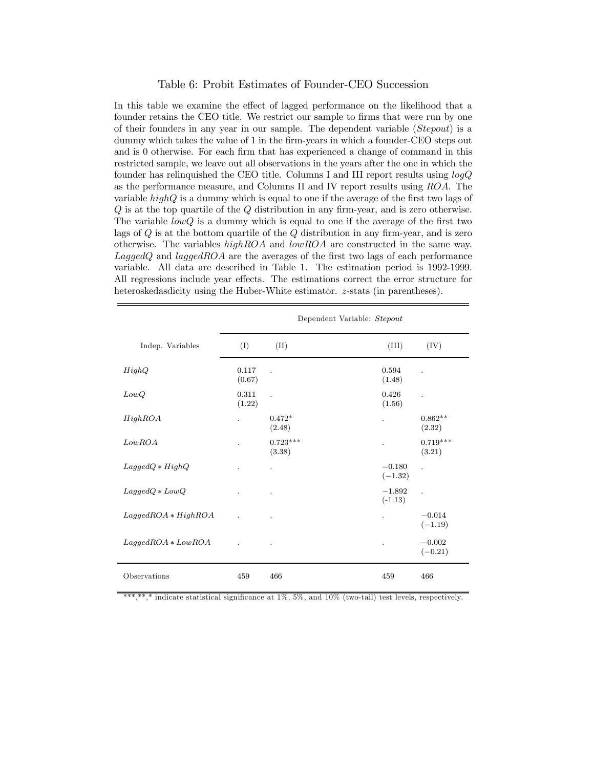#### Table 6: Probit Estimates of Founder-CEO Succession

In this table we examine the effect of lagged performance on the likelihood that a founder retains the CEO title. We restrict our sample to firms that were run by one of their founders in any year in our sample. The dependent variable (Stepout) is a dummy which takes the value of 1 in the firm-years in which a founder-CEO steps out and is 0 otherwise. For each firm that has experienced a change of command in this restricted sample, we leave out all observations in the years after the one in which the founder has relinquished the CEO title. Columns I and III report results using logQ as the performance measure, and Columns II and IV report results using ROA. The variable  $highQ$  is a dummy which is equal to one if the average of the first two lags of Q is at the top quartile of the Q distribution in any firm-year, and is zero otherwise. The variable  $lowQ$  is a dummy which is equal to one if the average of the first two lags of  $Q$  is at the bottom quartile of the  $Q$  distribution in any firm-year, and is zero otherwise. The variables  $highROA$  and  $lowROA$  are constructed in the same way.  $LagedQ$  and  $laggedROA$  are the averages of the first two lags of each performance variable. All data are described in Table 1. The estimation period is 1992-1999. All regressions include year effects. The estimations correct the error structure for heteroskedasdicity using the Huber-White estimator. z-stats (in parentheses).

|                       | Dependent Variable: Stepout |                      |                       |                       |
|-----------------------|-----------------------------|----------------------|-----------------------|-----------------------|
| Indep. Variables      | (I)                         | (II)                 | (III)                 | (IV)                  |
| HighQ                 | 0.117<br>(0.67)             | $\cdot$              | 0.594<br>(1.48)       | $\ddot{\phantom{a}}$  |
| LowQ                  | 0.311<br>(1.22)             |                      | 0.426<br>(1.56)       | $\overline{a}$        |
| HighROA               |                             | $0.472*$<br>(2.48)   | $\ddot{\phantom{a}}$  | $0.862**$<br>(2.32)   |
| LowROA                |                             | $0.723***$<br>(3.38) |                       | $0.719***$<br>(3.21)  |
| $LagedQ * HighQ$      |                             | $\ddot{\phantom{0}}$ | $-0.180$<br>$(-1.32)$ | $\ddot{\phantom{a}}$  |
| $LagedQ * LowQ$       |                             |                      | $-1.892$<br>$(-1.13)$ | $\mathbf{r}$          |
| $LagedROA * High ROA$ |                             | $\bullet$            |                       | $-0.014$<br>$(-1.19)$ |
| $LagedROA * LowROA$   |                             | $\cdot$              | $\overline{a}$        | $-0.002$<br>$(-0.21)$ |
| Observations          | 459                         | 466                  | 459                   | 466                   |

\*\*\*,\* indicate statistical significance at  $1\%$ ,  $5\%$ , and  $10\%$  (two-tail) test levels, respectively.